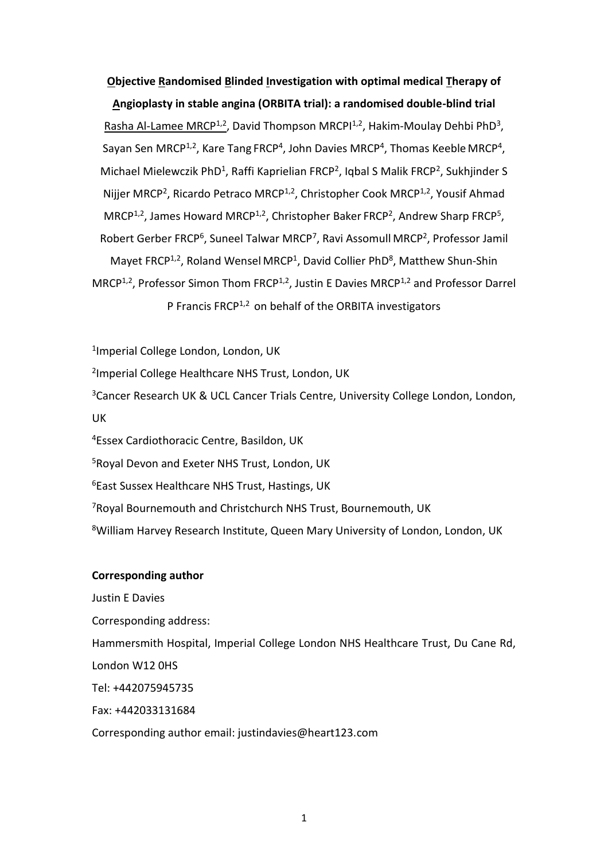# **Objective Randomised Blinded Investigation with optimal medical Therapy of Angioplasty in stable angina (ORBITA trial): a randomised double-blind trial**

Rasha Al-Lamee MRCP<sup>1,2</sup>, David Thompson MRCPI<sup>1,2</sup>, Hakim-Moulay Dehbi PhD<sup>3</sup>, Sayan Sen MRCP<sup>1,2</sup>, Kare Tang FRCP<sup>4</sup>, John Davies MRCP<sup>4</sup>, Thomas Keeble MRCP<sup>4</sup>, Michael Mielewczik PhD<sup>1</sup>, Raffi Kaprielian FRCP<sup>2</sup>, Iqbal S Malik FRCP<sup>2</sup>, Sukhjinder S Nijjer MRCP<sup>2</sup>, Ricardo Petraco MRCP<sup>1,2</sup>, Christopher Cook MRCP<sup>1,2</sup>, Yousif Ahmad  $MRCP<sup>1,2</sup>$ , James Howard MRCP<sup>1,2</sup>, Christopher Baker FRCP<sup>2</sup>, Andrew Sharp FRCP<sup>5</sup>, Robert Gerber FRCP<sup>6</sup>, Suneel Talwar MRCP<sup>7</sup>, Ravi Assomull MRCP<sup>2</sup>, Professor Jamil Mayet FRCP<sup>1,2</sup>, Roland Wensel MRCP<sup>1</sup>, David Collier PhD<sup>8</sup>, Matthew Shun-Shin MRCP<sup>1,2</sup>, Professor Simon Thom FRCP<sup>1,2</sup>, Justin E Davies MRCP<sup>1,2</sup> and Professor Darrel P Francis FRCP<sup>1,2</sup> on behalf of the ORBITA investigators

1 Imperial College London, London, UK

2 Imperial College Healthcare NHS Trust, London, UK

<sup>3</sup>Cancer Research UK & UCL Cancer Trials Centre, University College London, London, UK

<sup>4</sup>Essex Cardiothoracic Centre, Basildon, UK

<sup>5</sup>Royal Devon and Exeter NHS Trust, London, UK

<sup>6</sup>East Sussex Healthcare NHS Trust, Hastings, UK

<sup>7</sup>Royal Bournemouth and Christchurch NHS Trust, Bournemouth, UK

<sup>8</sup>William Harvey Research Institute, Queen Mary University of London, London, UK

### **Corresponding author**

Justin E Davies Corresponding address: Hammersmith Hospital, Imperial College London NHS Healthcare Trust, Du Cane Rd, London W12 0HS Tel: +442075945735 Fax: +442033131684 Corresponding author email: justindavies@heart123.com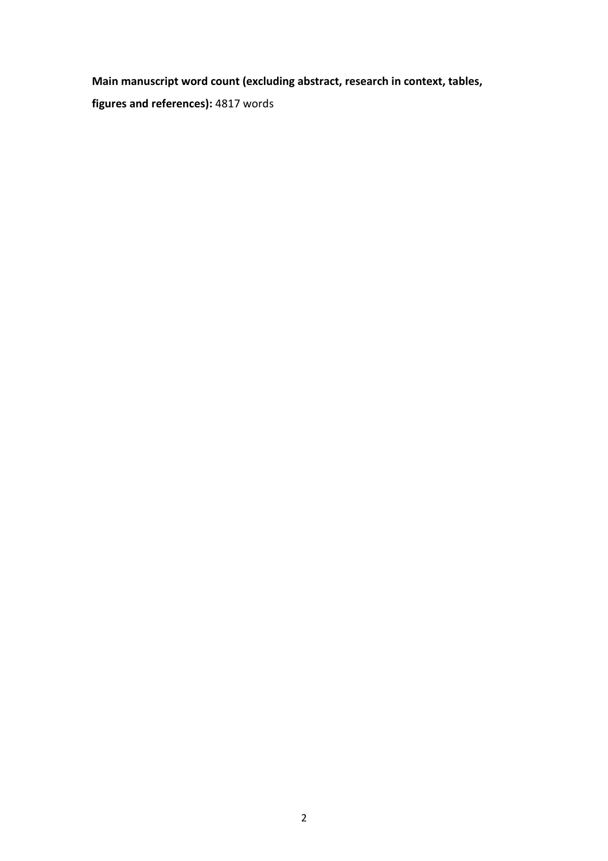**Main manuscript word count (excluding abstract, research in context, tables,** 

**figures and references):** 4817 words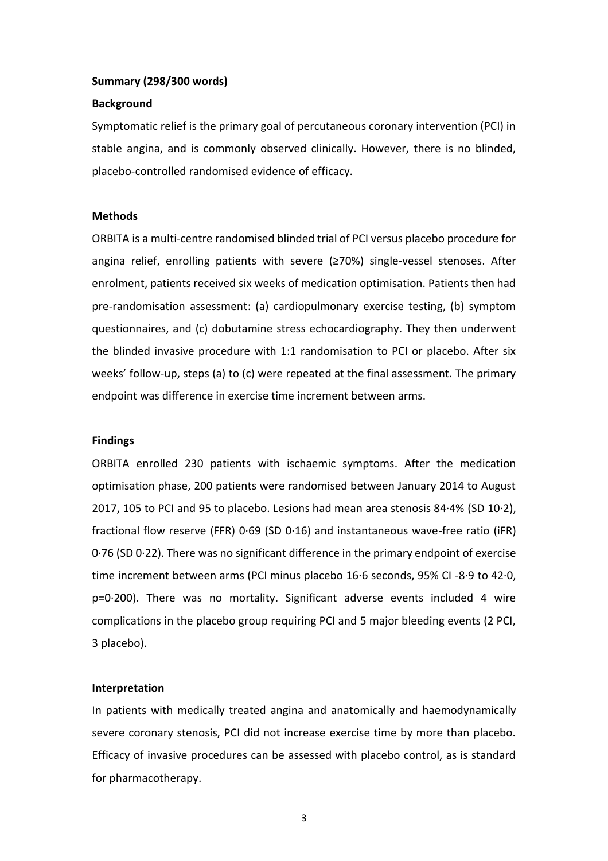#### **Summary (298/300 words)**

#### **Background**

Symptomatic relief is the primary goal of percutaneous coronary intervention (PCI) in stable angina, and is commonly observed clinically. However, there is no blinded, placebo-controlled randomised evidence of efficacy.

#### **Methods**

ORBITA is a multi-centre randomised blinded trial of PCI versus placebo procedure for angina relief, enrolling patients with severe (≥70%) single-vessel stenoses. After enrolment, patients received six weeks of medication optimisation. Patients then had pre-randomisation assessment: (a) cardiopulmonary exercise testing, (b) symptom questionnaires, and (c) dobutamine stress echocardiography. They then underwent the blinded invasive procedure with 1:1 randomisation to PCI or placebo. After six weeks' follow-up, steps (a) to (c) were repeated at the final assessment. The primary endpoint was difference in exercise time increment between arms.

#### **Findings**

ORBITA enrolled 230 patients with ischaemic symptoms. After the medication optimisation phase, 200 patients were randomised between January 2014 to August 2017, 105 to PCI and 95 to placebo. Lesions had mean area stenosis 84·4% (SD 10·2), fractional flow reserve (FFR) 0·69 (SD 0·16) and instantaneous wave-free ratio (iFR) 0·76 (SD 0·22). There was no significant difference in the primary endpoint of exercise time increment between arms (PCI minus placebo 16·6 seconds, 95% CI -8·9 to 42·0, p=0·200). There was no mortality. Significant adverse events included 4 wire complications in the placebo group requiring PCI and 5 major bleeding events (2 PCI, 3 placebo).

#### **Interpretation**

In patients with medically treated angina and anatomically and haemodynamically severe coronary stenosis, PCI did not increase exercise time by more than placebo. Efficacy of invasive procedures can be assessed with placebo control, as is standard for pharmacotherapy.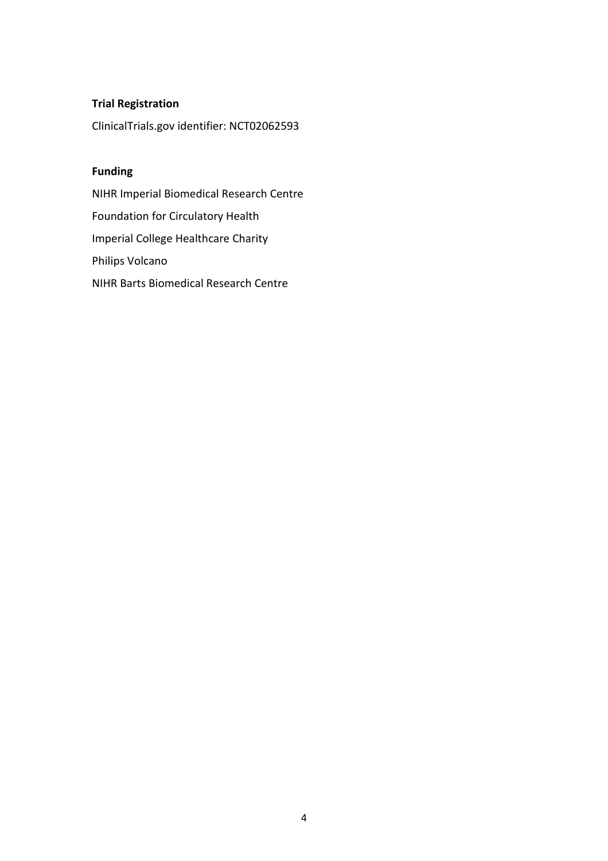# **Trial Registration**

ClinicalTrials.gov identifier: NCT02062593

# **Funding**

NIHR Imperial Biomedical Research Centre Foundation for Circulatory Health Imperial College Healthcare Charity Philips Volcano NIHR Barts Biomedical Research Centre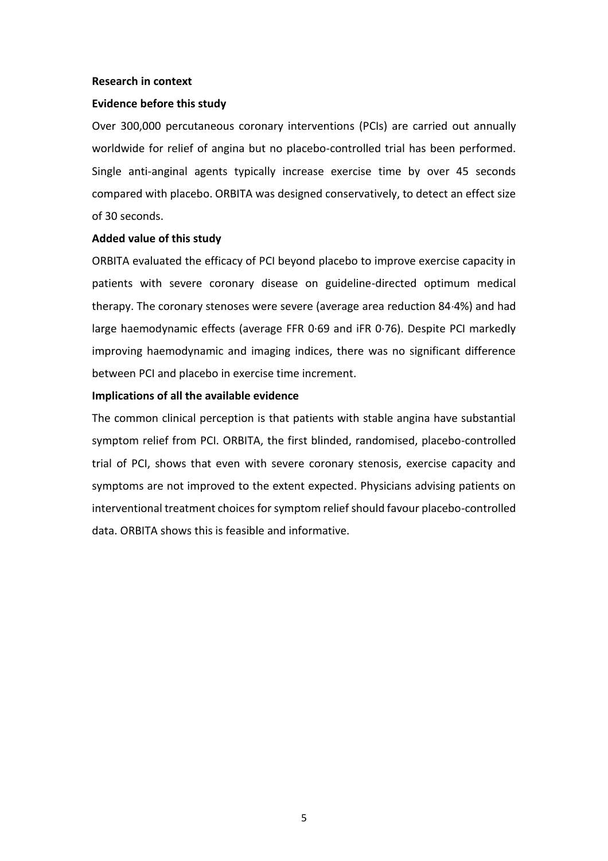### **Research in context**

#### **Evidence before this study**

Over 300,000 percutaneous coronary interventions (PCIs) are carried out annually worldwide for relief of angina but no placebo-controlled trial has been performed. Single anti-anginal agents typically increase exercise time by over 45 seconds compared with placebo. ORBITA was designed conservatively, to detect an effect size of 30 seconds.

#### **Added value of this study**

ORBITA evaluated the efficacy of PCI beyond placebo to improve exercise capacity in patients with severe coronary disease on guideline-directed optimum medical therapy. The coronary stenoses were severe (average area reduction 84·4%) and had large haemodynamic effects (average FFR 0·69 and iFR 0·76). Despite PCI markedly improving haemodynamic and imaging indices, there was no significant difference between PCI and placebo in exercise time increment.

#### **Implications of all the available evidence**

The common clinical perception is that patients with stable angina have substantial symptom relief from PCI. ORBITA, the first blinded, randomised, placebo-controlled trial of PCI, shows that even with severe coronary stenosis, exercise capacity and symptoms are not improved to the extent expected. Physicians advising patients on interventional treatment choices for symptom relief should favour placebo-controlled data. ORBITA shows this is feasible and informative.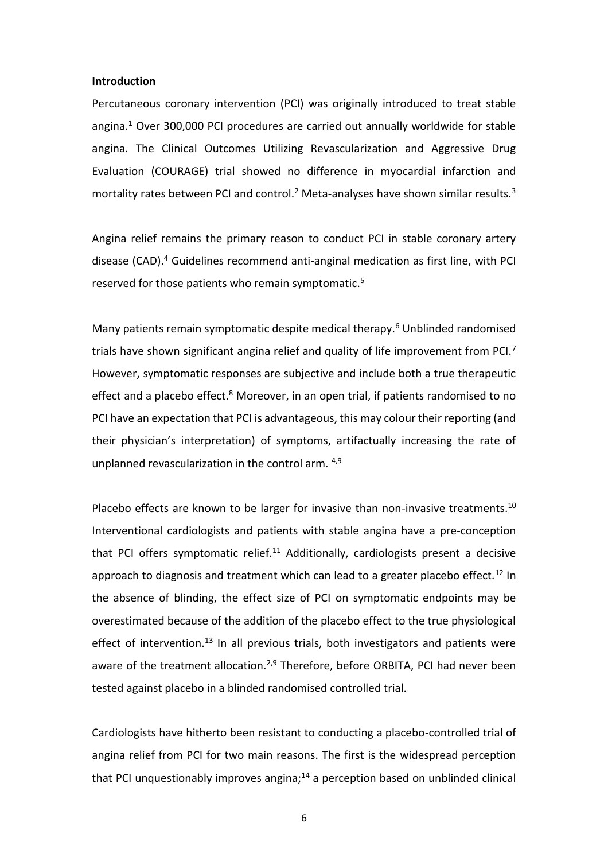#### **Introduction**

Percutaneous coronary intervention (PCI) was originally introduced to treat stable angina.<sup>1</sup> Over 300,000 PCI procedures are carried out annually worldwide for stable angina. The Clinical Outcomes Utilizing Revascularization and Aggressive Drug Evaluation (COURAGE) trial showed no difference in myocardial infarction and mortality rates between PCI and control.<sup>2</sup> Meta-analyses have shown similar results.<sup>3</sup>

Angina relief remains the primary reason to conduct PCI in stable coronary artery disease (CAD).<sup>4</sup> Guidelines recommend anti-anginal medication as first line, with PCI reserved for those patients who remain symptomatic.<sup>5</sup>

Many patients remain symptomatic despite medical therapy.<sup>6</sup> Unblinded randomised trials have shown significant angina relief and quality of life improvement from PCI.<sup>7</sup> However, symptomatic responses are subjective and include both a true therapeutic effect and a placebo effect. $8$  Moreover, in an open trial, if patients randomised to no PCI have an expectation that PCI is advantageous, this may colour their reporting (and their physician's interpretation) of symptoms, artifactually increasing the rate of unplanned revascularization in the control arm. 4,9

Placebo effects are known to be larger for invasive than non-invasive treatments.<sup>10</sup> Interventional cardiologists and patients with stable angina have a pre-conception that PCI offers symptomatic relief. $11$  Additionally, cardiologists present a decisive approach to diagnosis and treatment which can lead to a greater placebo effect.<sup>12</sup> In the absence of blinding, the effect size of PCI on symptomatic endpoints may be overestimated because of the addition of the placebo effect to the true physiological effect of intervention.<sup>13</sup> In all previous trials, both investigators and patients were aware of the treatment allocation.<sup>2,9</sup> Therefore, before ORBITA, PCI had never been tested against placebo in a blinded randomised controlled trial.

Cardiologists have hitherto been resistant to conducting a placebo-controlled trial of angina relief from PCI for two main reasons. The first is the widespread perception that PCI unquestionably improves angina; $14$  a perception based on unblinded clinical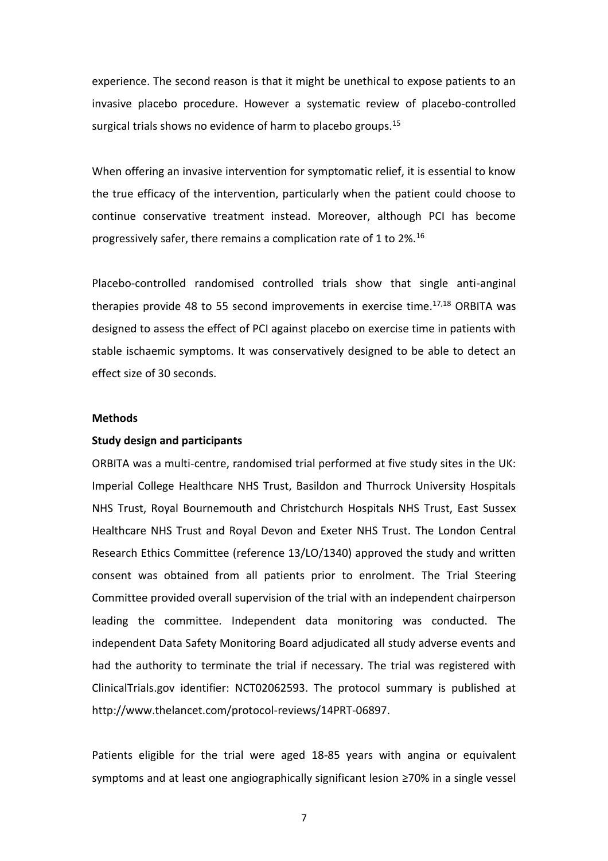experience. The second reason is that it might be unethical to expose patients to an invasive placebo procedure. However a systematic review of placebo-controlled surgical trials shows no evidence of harm to placebo groups.<sup>15</sup>

When offering an invasive intervention for symptomatic relief, it is essential to know the true efficacy of the intervention, particularly when the patient could choose to continue conservative treatment instead. Moreover, although PCI has become progressively safer, there remains a complication rate of 1 to 2%.<sup>16</sup>

Placebo-controlled randomised controlled trials show that single anti-anginal therapies provide 48 to 55 second improvements in exercise time. $17,18$  ORBITA was designed to assess the effect of PCI against placebo on exercise time in patients with stable ischaemic symptoms. It was conservatively designed to be able to detect an effect size of 30 seconds.

### **Methods**

### **Study design and participants**

ORBITA was a multi-centre, randomised trial performed at five study sites in the UK: Imperial College Healthcare NHS Trust, Basildon and Thurrock University Hospitals NHS Trust, Royal Bournemouth and Christchurch Hospitals NHS Trust, East Sussex Healthcare NHS Trust and Royal Devon and Exeter NHS Trust. The London Central Research Ethics Committee (reference 13/LO/1340) approved the study and written consent was obtained from all patients prior to enrolment. The Trial Steering Committee provided overall supervision of the trial with an independent chairperson leading the committee. Independent data monitoring was conducted. The independent Data Safety Monitoring Board adjudicated all study adverse events and had the authority to terminate the trial if necessary. The trial was registered with ClinicalTrials.gov identifier: NCT02062593. The protocol summary is published at http://www.thelancet.com/protocol-reviews/14PRT-06897.

Patients eligible for the trial were aged 18-85 years with angina or equivalent symptoms and at least one angiographically significant lesion ≥70% in a single vessel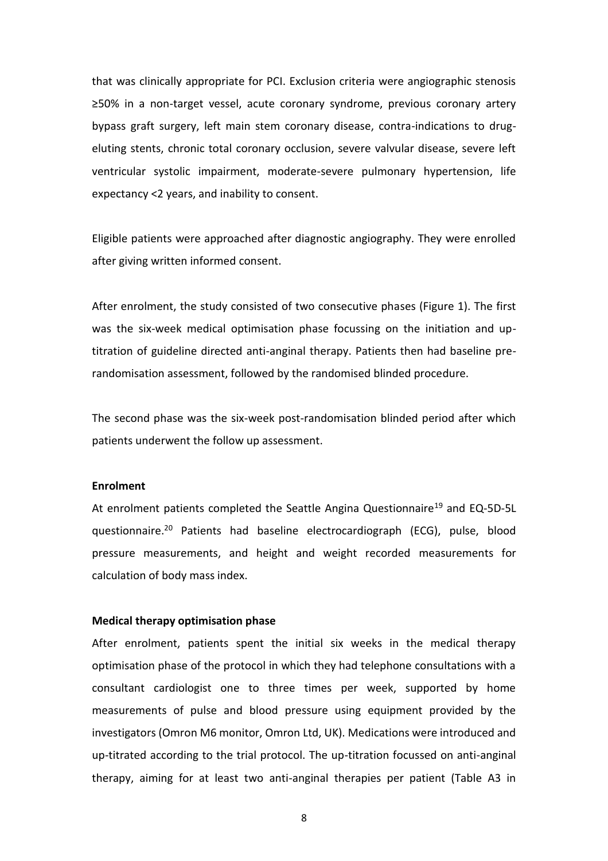that was clinically appropriate for PCI. Exclusion criteria were angiographic stenosis ≥50% in a non-target vessel, acute coronary syndrome, previous coronary artery bypass graft surgery, left main stem coronary disease, contra-indications to drugeluting stents, chronic total coronary occlusion, severe valvular disease, severe left ventricular systolic impairment, moderate-severe pulmonary hypertension, life expectancy <2 years, and inability to consent.

Eligible patients were approached after diagnostic angiography. They were enrolled after giving written informed consent.

After enrolment, the study consisted of two consecutive phases (Figure 1). The first was the six-week medical optimisation phase focussing on the initiation and uptitration of guideline directed anti-anginal therapy. Patients then had baseline prerandomisation assessment, followed by the randomised blinded procedure.

The second phase was the six-week post-randomisation blinded period after which patients underwent the follow up assessment.

### **Enrolment**

At enrolment patients completed the Seattle Angina Questionnaire<sup>19</sup> and EQ-5D-5L questionnaire. <sup>20</sup> Patients had baseline electrocardiograph (ECG), pulse, blood pressure measurements, and height and weight recorded measurements for calculation of body mass index.

### **Medical therapy optimisation phase**

After enrolment, patients spent the initial six weeks in the medical therapy optimisation phase of the protocol in which they had telephone consultations with a consultant cardiologist one to three times per week, supported by home measurements of pulse and blood pressure using equipment provided by the investigators (Omron M6 monitor, Omron Ltd, UK). Medications were introduced and up-titrated according to the trial protocol. The up-titration focussed on anti-anginal therapy, aiming for at least two anti-anginal therapies per patient (Table A3 in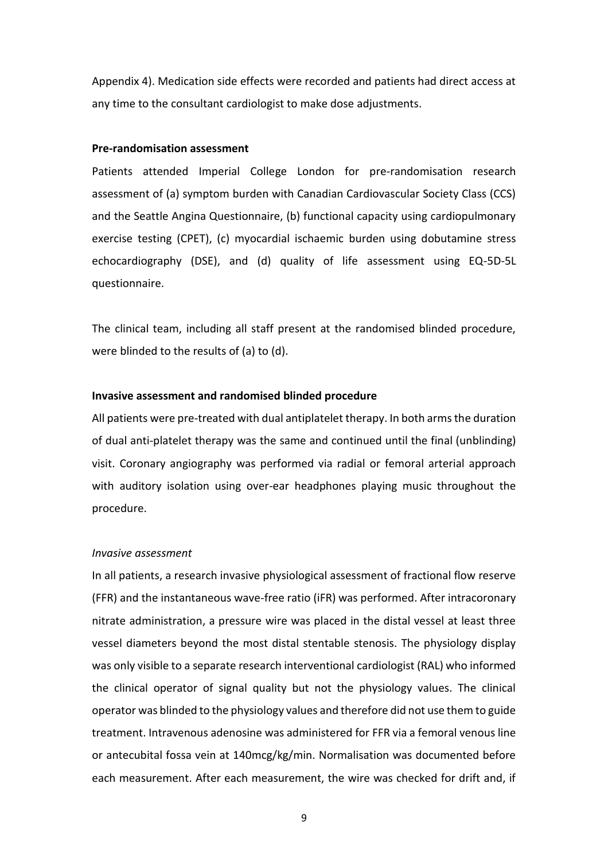Appendix 4). Medication side effects were recorded and patients had direct access at any time to the consultant cardiologist to make dose adjustments.

### **Pre-randomisation assessment**

Patients attended Imperial College London for pre-randomisation research assessment of (a) symptom burden with Canadian Cardiovascular Society Class (CCS) and the Seattle Angina Questionnaire, (b) functional capacity using cardiopulmonary exercise testing (CPET), (c) myocardial ischaemic burden using dobutamine stress echocardiography (DSE), and (d) quality of life assessment using EQ-5D-5L questionnaire.

The clinical team, including all staff present at the randomised blinded procedure, were blinded to the results of (a) to (d).

#### **Invasive assessment and randomised blinded procedure**

All patients were pre-treated with dual antiplatelet therapy. In both arms the duration of dual anti-platelet therapy was the same and continued until the final (unblinding) visit. Coronary angiography was performed via radial or femoral arterial approach with auditory isolation using over-ear headphones playing music throughout the procedure.

### *Invasive assessment*

In all patients, a research invasive physiological assessment of fractional flow reserve (FFR) and the instantaneous wave-free ratio (iFR) was performed. After intracoronary nitrate administration, a pressure wire was placed in the distal vessel at least three vessel diameters beyond the most distal stentable stenosis. The physiology display was only visible to a separate research interventional cardiologist (RAL) who informed the clinical operator of signal quality but not the physiology values. The clinical operator was blinded to the physiology values and therefore did not use them to guide treatment. Intravenous adenosine was administered for FFR via a femoral venous line or antecubital fossa vein at 140mcg/kg/min. Normalisation was documented before each measurement. After each measurement, the wire was checked for drift and, if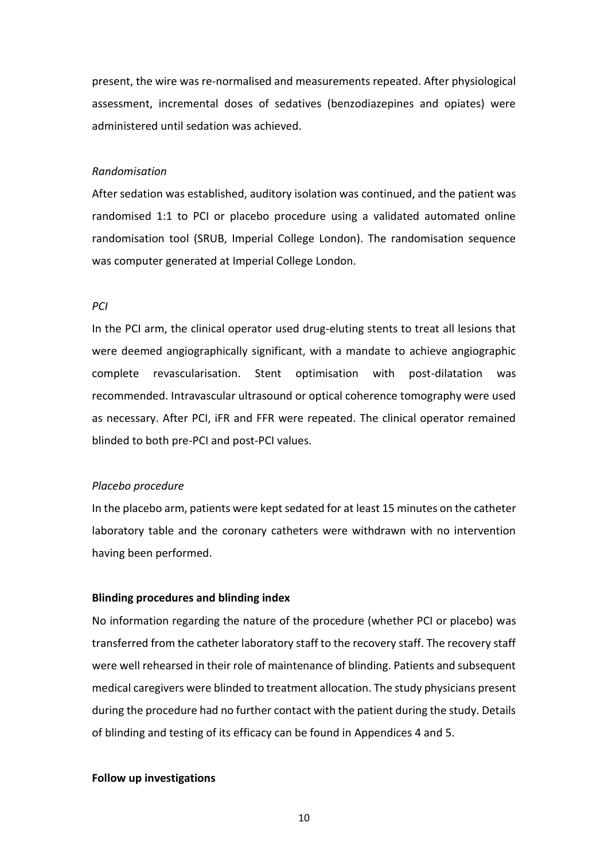present, the wire was re-normalised and measurements repeated. After physiological assessment, incremental doses of sedatives (benzodiazepines and opiates) were administered until sedation was achieved.

#### *Randomisation*

After sedation was established, auditory isolation was continued, and the patient was randomised 1:1 to PCI or placebo procedure using a validated automated online randomisation tool (SRUB, Imperial College London). The randomisation sequence was computer generated at Imperial College London.

#### *PCI*

In the PCI arm, the clinical operator used drug-eluting stents to treat all lesions that were deemed angiographically significant, with a mandate to achieve angiographic complete revascularisation. Stent optimisation with post-dilatation was recommended. Intravascular ultrasound or optical coherence tomography were used as necessary. After PCI, iFR and FFR were repeated. The clinical operator remained blinded to both pre-PCI and post-PCI values.

### *Placebo procedure*

In the placebo arm, patients were kept sedated for at least 15 minutes on the catheter laboratory table and the coronary catheters were withdrawn with no intervention having been performed.

# **Blinding procedures and blinding index**

No information regarding the nature of the procedure (whether PCI or placebo) was transferred from the catheter laboratory staff to the recovery staff. The recovery staff were well rehearsed in their role of maintenance of blinding. Patients and subsequent medical caregivers were blinded to treatment allocation. The study physicians present during the procedure had no further contact with the patient during the study. Details of blinding and testing of its efficacy can be found in Appendices 4 and 5.

#### **Follow up investigations**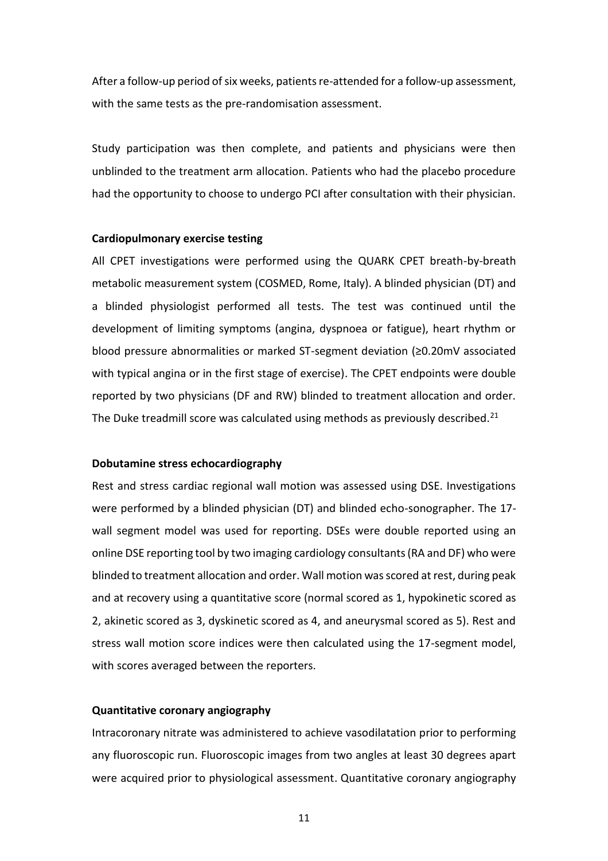After a follow-up period of six weeks, patients re-attended for a follow-up assessment, with the same tests as the pre-randomisation assessment.

Study participation was then complete, and patients and physicians were then unblinded to the treatment arm allocation. Patients who had the placebo procedure had the opportunity to choose to undergo PCI after consultation with their physician.

#### **Cardiopulmonary exercise testing**

All CPET investigations were performed using the QUARK CPET breath-by-breath metabolic measurement system (COSMED, Rome, Italy). A blinded physician (DT) and a blinded physiologist performed all tests. The test was continued until the development of limiting symptoms (angina, dyspnoea or fatigue), heart rhythm or blood pressure abnormalities or marked ST-segment deviation (≥0.20mV associated with typical angina or in the first stage of exercise). The CPET endpoints were double reported by two physicians (DF and RW) blinded to treatment allocation and order. The Duke treadmill score was calculated using methods as previously described.<sup>21</sup>

## **Dobutamine stress echocardiography**

Rest and stress cardiac regional wall motion was assessed using DSE. Investigations were performed by a blinded physician (DT) and blinded echo-sonographer. The 17 wall segment model was used for reporting. DSEs were double reported using an online DSE reporting tool by two imaging cardiology consultants (RA and DF) who were blinded to treatment allocation and order. Wall motion was scored at rest, during peak and at recovery using a quantitative score (normal scored as 1, hypokinetic scored as 2, akinetic scored as 3, dyskinetic scored as 4, and aneurysmal scored as 5). Rest and stress wall motion score indices were then calculated using the 17-segment model, with scores averaged between the reporters.

#### **Quantitative coronary angiography**

Intracoronary nitrate was administered to achieve vasodilatation prior to performing any fluoroscopic run. Fluoroscopic images from two angles at least 30 degrees apart were acquired prior to physiological assessment. Quantitative coronary angiography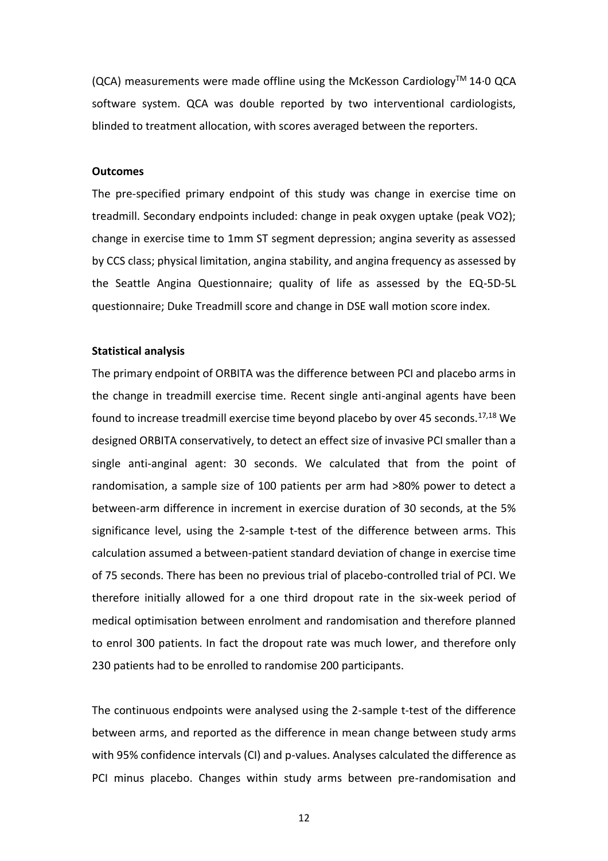$(QCA)$  measurements were made offline using the McKesson Cardiology<sup>TM</sup> 14.0 QCA software system. QCA was double reported by two interventional cardiologists, blinded to treatment allocation, with scores averaged between the reporters.

#### **Outcomes**

The pre-specified primary endpoint of this study was change in exercise time on treadmill. Secondary endpoints included: change in peak oxygen uptake (peak VO2); change in exercise time to 1mm ST segment depression; angina severity as assessed by CCS class; physical limitation, angina stability, and angina frequency as assessed by the Seattle Angina Questionnaire; quality of life as assessed by the EQ-5D-5L questionnaire; Duke Treadmill score and change in DSE wall motion score index.

#### **Statistical analysis**

The primary endpoint of ORBITA was the difference between PCI and placebo arms in the change in treadmill exercise time. Recent single anti-anginal agents have been found to increase treadmill exercise time beyond placebo by over 45 seconds.17,18 We designed ORBITA conservatively, to detect an effect size of invasive PCI smaller than a single anti-anginal agent: 30 seconds. We calculated that from the point of randomisation, a sample size of 100 patients per arm had >80% power to detect a between-arm difference in increment in exercise duration of 30 seconds, at the 5% significance level, using the 2-sample t-test of the difference between arms. This calculation assumed a between-patient standard deviation of change in exercise time of 75 seconds. There has been no previous trial of placebo-controlled trial of PCI. We therefore initially allowed for a one third dropout rate in the six-week period of medical optimisation between enrolment and randomisation and therefore planned to enrol 300 patients. In fact the dropout rate was much lower, and therefore only 230 patients had to be enrolled to randomise 200 participants.

The continuous endpoints were analysed using the 2-sample t-test of the difference between arms, and reported as the difference in mean change between study arms with 95% confidence intervals (CI) and p-values. Analyses calculated the difference as PCI minus placebo. Changes within study arms between pre-randomisation and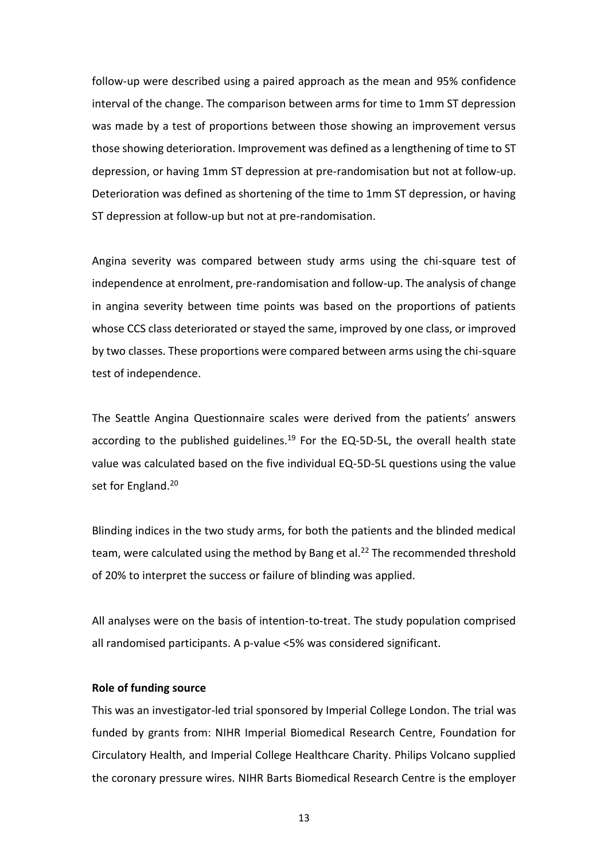follow-up were described using a paired approach as the mean and 95% confidence interval of the change. The comparison between arms for time to 1mm ST depression was made by a test of proportions between those showing an improvement versus those showing deterioration. Improvement was defined as a lengthening of time to ST depression, or having 1mm ST depression at pre-randomisation but not at follow-up. Deterioration was defined as shortening of the time to 1mm ST depression, or having ST depression at follow-up but not at pre-randomisation.

Angina severity was compared between study arms using the chi-square test of independence at enrolment, pre-randomisation and follow-up. The analysis of change in angina severity between time points was based on the proportions of patients whose CCS class deteriorated or stayed the same, improved by one class, or improved by two classes. These proportions were compared between arms using the chi-square test of independence.

The Seattle Angina Questionnaire scales were derived from the patients' answers according to the published guidelines.<sup>19</sup> For the EQ-5D-5L, the overall health state value was calculated based on the five individual EQ-5D-5L questions using the value set for England.<sup>20</sup>

Blinding indices in the two study arms, for both the patients and the blinded medical team, were calculated using the method by Bang et al.<sup>22</sup> The recommended threshold of 20% to interpret the success or failure of blinding was applied.

All analyses were on the basis of intention-to-treat. The study population comprised all randomised participants. A p-value <5% was considered significant.

#### **Role of funding source**

This was an investigator-led trial sponsored by Imperial College London. The trial was funded by grants from: NIHR Imperial Biomedical Research Centre, Foundation for Circulatory Health, and Imperial College Healthcare Charity. Philips Volcano supplied the coronary pressure wires. NIHR Barts Biomedical Research Centre is the employer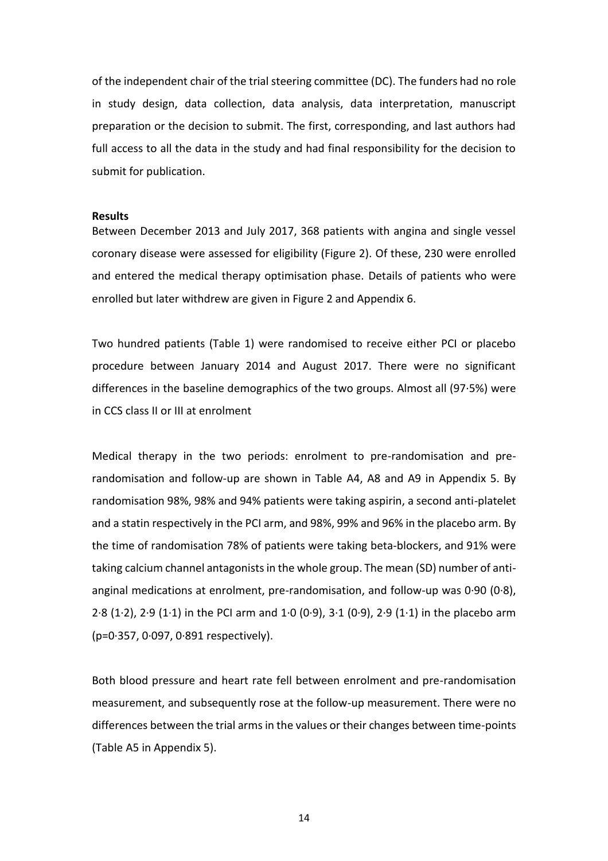of the independent chair of the trial steering committee (DC). The funders had no role in study design, data collection, data analysis, data interpretation, manuscript preparation or the decision to submit. The first, corresponding, and last authors had full access to all the data in the study and had final responsibility for the decision to submit for publication.

#### **Results**

Between December 2013 and July 2017, 368 patients with angina and single vessel coronary disease were assessed for eligibility (Figure 2). Of these, 230 were enrolled and entered the medical therapy optimisation phase. Details of patients who were enrolled but later withdrew are given in Figure 2 and Appendix 6.

Two hundred patients (Table 1) were randomised to receive either PCI or placebo procedure between January 2014 and August 2017. There were no significant differences in the baseline demographics of the two groups. Almost all (97·5%) were in CCS class II or III at enrolment

Medical therapy in the two periods: enrolment to pre-randomisation and prerandomisation and follow-up are shown in Table A4, A8 and A9 in Appendix 5. By randomisation 98%, 98% and 94% patients were taking aspirin, a second anti-platelet and a statin respectively in the PCI arm, and 98%, 99% and 96% in the placebo arm. By the time of randomisation 78% of patients were taking beta-blockers, and 91% were taking calcium channel antagonists in the whole group. The mean (SD) number of antianginal medications at enrolment, pre-randomisation, and follow-up was 0·90 (0·8), 2·8 (1·2), 2·9 (1·1) in the PCI arm and 1·0 (0·9), 3·1 (0·9), 2·9 (1·1) in the placebo arm (p=0·357, 0·097, 0·891 respectively).

Both blood pressure and heart rate fell between enrolment and pre-randomisation measurement, and subsequently rose at the follow-up measurement. There were no differences between the trial arms in the values or their changes between time-points (Table A5 in Appendix 5).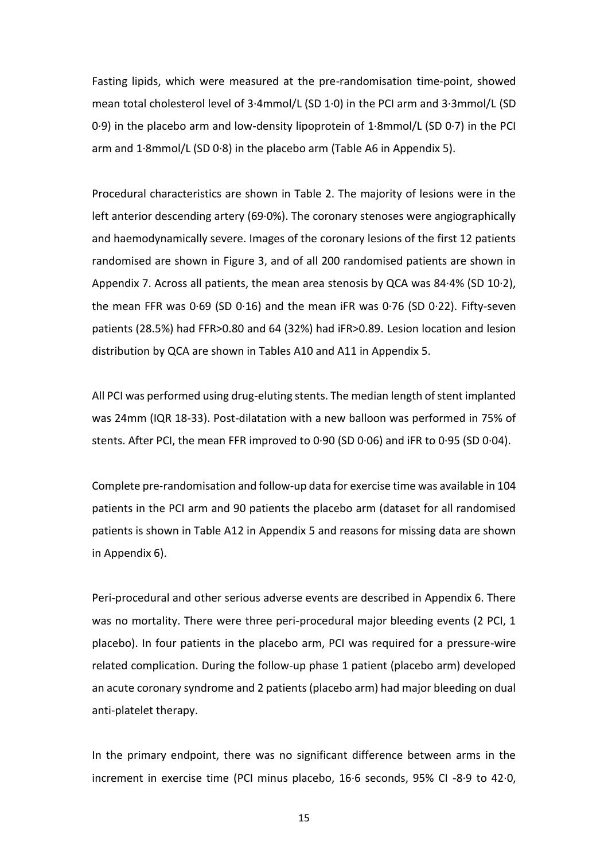Fasting lipids, which were measured at the pre-randomisation time-point, showed mean total cholesterol level of 3·4mmol/L (SD 1·0) in the PCI arm and 3·3mmol/L (SD 0·9) in the placebo arm and low-density lipoprotein of 1·8mmol/L (SD 0·7) in the PCI arm and 1·8mmol/L (SD 0·8) in the placebo arm (Table A6 in Appendix 5).

Procedural characteristics are shown in Table 2. The majority of lesions were in the left anterior descending artery (69·0%). The coronary stenoses were angiographically and haemodynamically severe. Images of the coronary lesions of the first 12 patients randomised are shown in Figure 3, and of all 200 randomised patients are shown in Appendix 7. Across all patients, the mean area stenosis by QCA was 84·4% (SD 10·2), the mean FFR was 0·69 (SD 0·16) and the mean iFR was 0·76 (SD 0·22). Fifty-seven patients (28.5%) had FFR>0.80 and 64 (32%) had iFR>0.89. Lesion location and lesion distribution by QCA are shown in Tables A10 and A11 in Appendix 5.

All PCI was performed using drug-eluting stents. The median length of stent implanted was 24mm (IQR 18-33). Post-dilatation with a new balloon was performed in 75% of stents. After PCI, the mean FFR improved to 0·90 (SD 0·06) and iFR to 0·95 (SD 0·04).

Complete pre-randomisation and follow-up data for exercise time was available in 104 patients in the PCI arm and 90 patients the placebo arm (dataset for all randomised patients is shown in Table A12 in Appendix 5 and reasons for missing data are shown in Appendix 6).

Peri-procedural and other serious adverse events are described in Appendix 6. There was no mortality. There were three peri-procedural major bleeding events (2 PCI, 1 placebo). In four patients in the placebo arm, PCI was required for a pressure-wire related complication. During the follow-up phase 1 patient (placebo arm) developed an acute coronary syndrome and 2 patients (placebo arm) had major bleeding on dual anti-platelet therapy.

In the primary endpoint, there was no significant difference between arms in the increment in exercise time (PCI minus placebo, 16·6 seconds, 95% CI -8·9 to 42·0,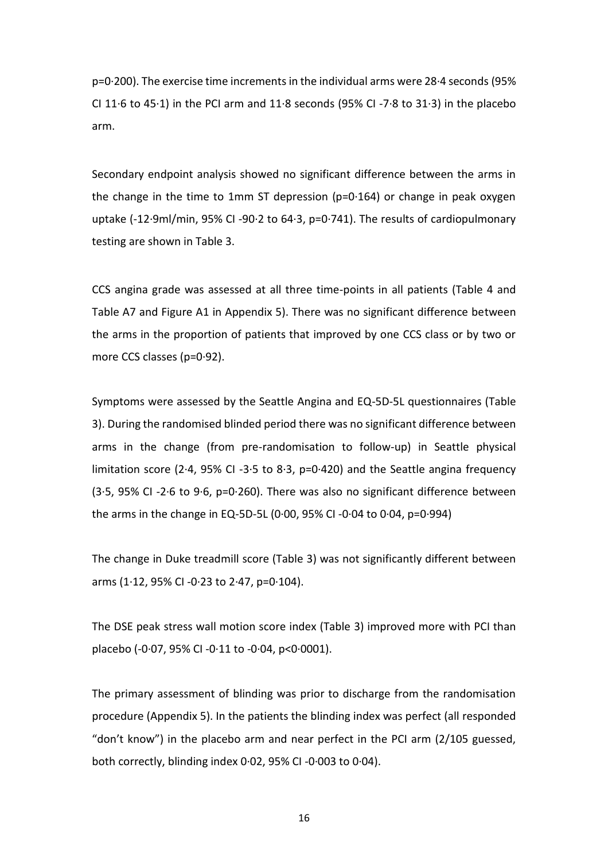p=0·200). The exercise time increments in the individual arms were 28·4 seconds (95% CI 11 $\cdot$ 6 to 45 $\cdot$ 1) in the PCI arm and 11 $\cdot$ 8 seconds (95% CI -7 $\cdot$ 8 to 31 $\cdot$ 3) in the placebo arm.

Secondary endpoint analysis showed no significant difference between the arms in the change in the time to 1mm ST depression (p=0·164) or change in peak oxygen uptake (-12·9ml/min, 95% CI -90·2 to 64·3, p=0·741). The results of cardiopulmonary testing are shown in Table 3.

CCS angina grade was assessed at all three time-points in all patients (Table 4 and Table A7 and Figure A1 in Appendix 5). There was no significant difference between the arms in the proportion of patients that improved by one CCS class or by two or more CCS classes (p=0·92).

Symptoms were assessed by the Seattle Angina and EQ-5D-5L questionnaires (Table 3). During the randomised blinded period there was no significant difference between arms in the change (from pre-randomisation to follow-up) in Seattle physical limitation score (2.4, 95% CI -3.5 to 8.3, p=0.420) and the Seattle angina frequency (3·5, 95% CI -2·6 to 9·6, p=0·260). There was also no significant difference between the arms in the change in EQ-5D-5L (0·00, 95% CI -0·04 to 0·04, p=0·994)

The change in Duke treadmill score (Table 3) was not significantly different between arms (1 $\cdot$ 12, 95% CI -0 $\cdot$ 23 to 2 $\cdot$ 47, p=0 $\cdot$ 104).

The DSE peak stress wall motion score index (Table 3) improved more with PCI than placebo (-0·07, 95% CI -0·11 to -0·04, p<0·0001).

The primary assessment of blinding was prior to discharge from the randomisation procedure (Appendix 5). In the patients the blinding index was perfect (all responded "don't know") in the placebo arm and near perfect in the PCI arm (2/105 guessed, both correctly, blinding index 0·02, 95% CI -0·003 to 0·04).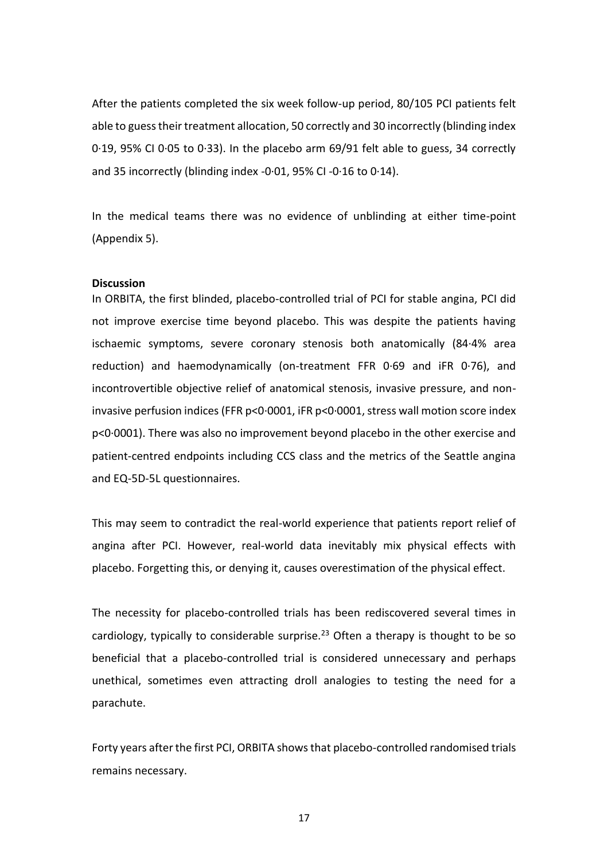After the patients completed the six week follow-up period, 80/105 PCI patients felt able to guess their treatment allocation, 50 correctly and 30 incorrectly (blinding index 0·19, 95% CI 0·05 to 0·33). In the placebo arm 69/91 felt able to guess, 34 correctly and 35 incorrectly (blinding index -0·01, 95% CI -0·16 to 0·14).

In the medical teams there was no evidence of unblinding at either time-point (Appendix 5).

#### **Discussion**

In ORBITA, the first blinded, placebo-controlled trial of PCI for stable angina, PCI did not improve exercise time beyond placebo. This was despite the patients having ischaemic symptoms, severe coronary stenosis both anatomically (84·4% area reduction) and haemodynamically (on-treatment FFR 0·69 and iFR 0·76), and incontrovertible objective relief of anatomical stenosis, invasive pressure, and noninvasive perfusion indices (FFR p<0·0001, iFR p<0·0001, stress wall motion score index p<0·0001). There was also no improvement beyond placebo in the other exercise and patient-centred endpoints including CCS class and the metrics of the Seattle angina and EQ-5D-5L questionnaires.

This may seem to contradict the real-world experience that patients report relief of angina after PCI. However, real-world data inevitably mix physical effects with placebo. Forgetting this, or denying it, causes overestimation of the physical effect.

The necessity for placebo-controlled trials has been rediscovered several times in cardiology, typically to considerable surprise.<sup>23</sup> Often a therapy is thought to be so beneficial that a placebo-controlled trial is considered unnecessary and perhaps unethical, sometimes even attracting droll analogies to testing the need for a parachute.

Forty years after the first PCI, ORBITA shows that placebo-controlled randomised trials remains necessary.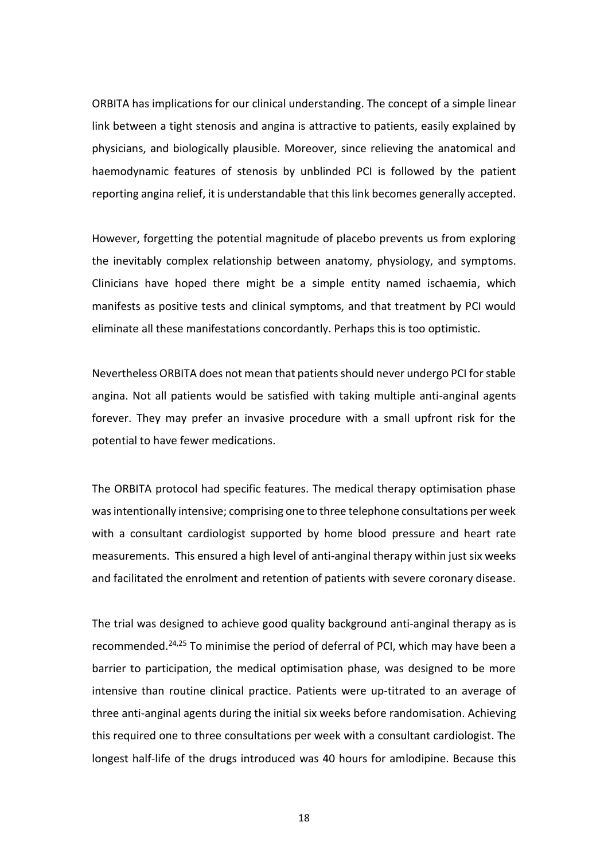ORBITA has implications for our clinical understanding. The concept of a simple linear link between a tight stenosis and angina is attractive to patients, easily explained by physicians, and biologically plausible. Moreover, since relieving the anatomical and haemodynamic features of stenosis by unblinded PCI is followed by the patient reporting angina relief, it is understandable that this link becomes generally accepted.

However, forgetting the potential magnitude of placebo prevents us from exploring the inevitably complex relationship between anatomy, physiology, and symptoms. Clinicians have hoped there might be a simple entity named ischaemia, which manifests as positive tests and clinical symptoms, and that treatment by PCI would eliminate all these manifestations concordantly. Perhaps this is too optimistic.

Nevertheless ORBITA does not mean that patients should never undergo PCI for stable angina. Not all patients would be satisfied with taking multiple anti-anginal agents forever. They may prefer an invasive procedure with a small upfront risk for the potential to have fewer medications.

The ORBITA protocol had specific features. The medical therapy optimisation phase was intentionally intensive; comprising one to three telephone consultations per week with a consultant cardiologist supported by home blood pressure and heart rate measurements. This ensured a high level of anti-anginal therapy within just six weeks and facilitated the enrolment and retention of patients with severe coronary disease.

The trial was designed to achieve good quality background anti-anginal therapy as is recommended.24,25 To minimise the period of deferral of PCI, which may have been a barrier to participation, the medical optimisation phase, was designed to be more intensive than routine clinical practice. Patients were up-titrated to an average of three anti-anginal agents during the initial six weeks before randomisation. Achieving this required one to three consultations per week with a consultant cardiologist. The longest half-life of the drugs introduced was 40 hours for amlodipine. Because this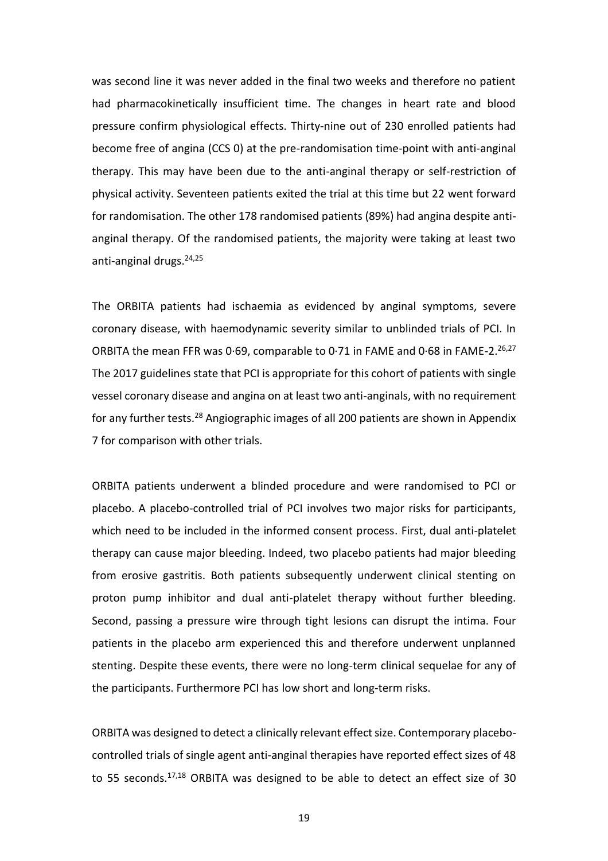was second line it was never added in the final two weeks and therefore no patient had pharmacokinetically insufficient time. The changes in heart rate and blood pressure confirm physiological effects. Thirty-nine out of 230 enrolled patients had become free of angina (CCS 0) at the pre-randomisation time-point with anti-anginal therapy. This may have been due to the anti-anginal therapy or self-restriction of physical activity. Seventeen patients exited the trial at this time but 22 went forward for randomisation. The other 178 randomised patients (89%) had angina despite antianginal therapy. Of the randomised patients, the majority were taking at least two anti-anginal drugs.<sup>24,25</sup>

The ORBITA patients had ischaemia as evidenced by anginal symptoms, severe coronary disease, with haemodynamic severity similar to unblinded trials of PCI. In ORBITA the mean FFR was 0.69, comparable to 0.71 in FAME and 0.68 in FAME-2.<sup>26,27</sup> The 2017 guidelines state that PCI is appropriate for this cohort of patients with single vessel coronary disease and angina on at least two anti-anginals, with no requirement for any further tests.<sup>28</sup> Angiographic images of all 200 patients are shown in Appendix 7 for comparison with other trials.

ORBITA patients underwent a blinded procedure and were randomised to PCI or placebo. A placebo-controlled trial of PCI involves two major risks for participants, which need to be included in the informed consent process. First, dual anti-platelet therapy can cause major bleeding. Indeed, two placebo patients had major bleeding from erosive gastritis. Both patients subsequently underwent clinical stenting on proton pump inhibitor and dual anti-platelet therapy without further bleeding. Second, passing a pressure wire through tight lesions can disrupt the intima. Four patients in the placebo arm experienced this and therefore underwent unplanned stenting. Despite these events, there were no long-term clinical sequelae for any of the participants. Furthermore PCI has low short and long-term risks.

ORBITA was designed to detect a clinically relevant effect size. Contemporary placebocontrolled trials of single agent anti-anginal therapies have reported effect sizes of 48 to 55 seconds.17,18 ORBITA was designed to be able to detect an effect size of 30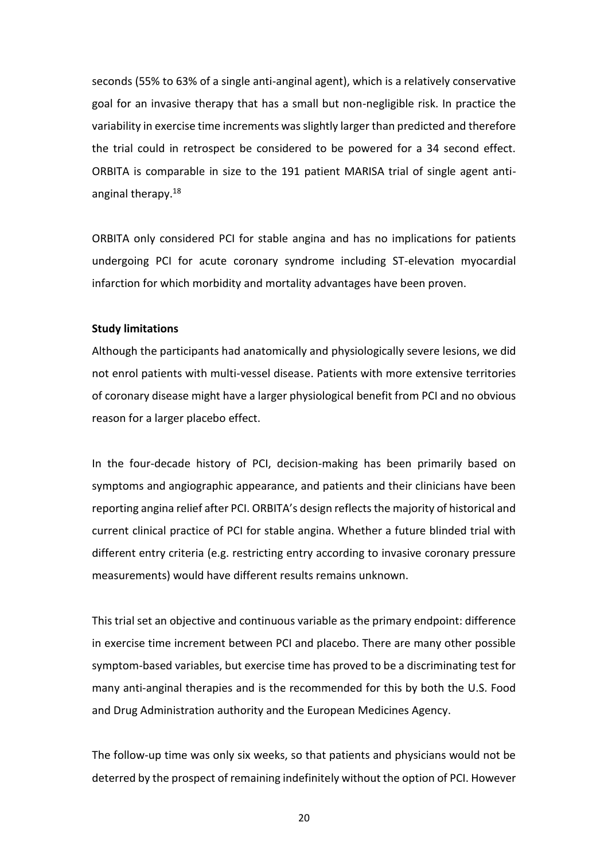seconds (55% to 63% of a single anti-anginal agent), which is a relatively conservative goal for an invasive therapy that has a small but non-negligible risk. In practice the variability in exercise time increments was slightly larger than predicted and therefore the trial could in retrospect be considered to be powered for a 34 second effect. ORBITA is comparable in size to the 191 patient MARISA trial of single agent antianginal therapy.<sup>18</sup>

ORBITA only considered PCI for stable angina and has no implications for patients undergoing PCI for acute coronary syndrome including ST-elevation myocardial infarction for which morbidity and mortality advantages have been proven.

# **Study limitations**

Although the participants had anatomically and physiologically severe lesions, we did not enrol patients with multi-vessel disease. Patients with more extensive territories of coronary disease might have a larger physiological benefit from PCI and no obvious reason for a larger placebo effect.

In the four-decade history of PCI, decision-making has been primarily based on symptoms and angiographic appearance, and patients and their clinicians have been reporting angina relief after PCI. ORBITA's design reflects the majority of historical and current clinical practice of PCI for stable angina. Whether a future blinded trial with different entry criteria (e.g. restricting entry according to invasive coronary pressure measurements) would have different results remains unknown.

This trial set an objective and continuous variable as the primary endpoint: difference in exercise time increment between PCI and placebo. There are many other possible symptom-based variables, but exercise time has proved to be a discriminating test for many anti-anginal therapies and is the recommended for this by both the U.S. Food and Drug Administration authority and the European Medicines Agency.

The follow-up time was only six weeks, so that patients and physicians would not be deterred by the prospect of remaining indefinitely without the option of PCI. However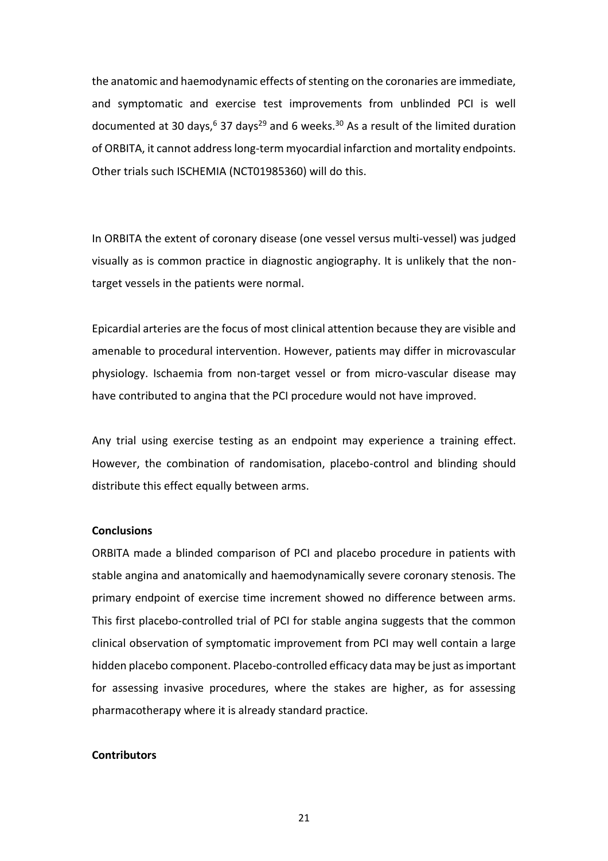the anatomic and haemodynamic effects of stenting on the coronaries are immediate, and symptomatic and exercise test improvements from unblinded PCI is well documented at 30 days,<sup>6</sup> 37 days<sup>29</sup> and 6 weeks.<sup>30</sup> As a result of the limited duration of ORBITA, it cannot address long-term myocardial infarction and mortality endpoints. Other trials such ISCHEMIA (NCT01985360) will do this.

In ORBITA the extent of coronary disease (one vessel versus multi-vessel) was judged visually as is common practice in diagnostic angiography. It is unlikely that the nontarget vessels in the patients were normal.

Epicardial arteries are the focus of most clinical attention because they are visible and amenable to procedural intervention. However, patients may differ in microvascular physiology. Ischaemia from non-target vessel or from micro-vascular disease may have contributed to angina that the PCI procedure would not have improved.

Any trial using exercise testing as an endpoint may experience a training effect. However, the combination of randomisation, placebo-control and blinding should distribute this effect equally between arms.

### **Conclusions**

ORBITA made a blinded comparison of PCI and placebo procedure in patients with stable angina and anatomically and haemodynamically severe coronary stenosis. The primary endpoint of exercise time increment showed no difference between arms. This first placebo-controlled trial of PCI for stable angina suggests that the common clinical observation of symptomatic improvement from PCI may well contain a large hidden placebo component. Placebo-controlled efficacy data may be just as important for assessing invasive procedures, where the stakes are higher, as for assessing pharmacotherapy where it is already standard practice.

#### **Contributors**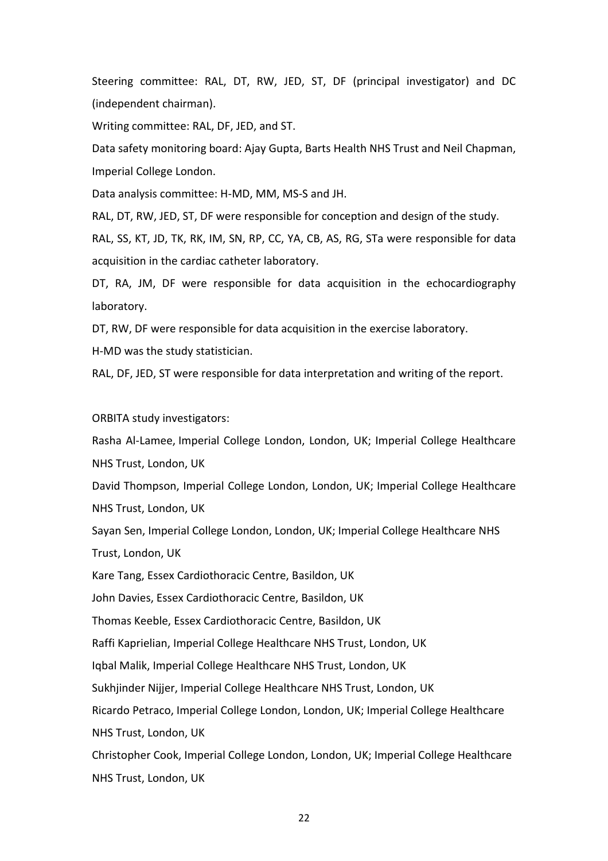Steering committee: RAL, DT, RW, JED, ST, DF (principal investigator) and DC (independent chairman).

Writing committee: RAL, DF, JED, and ST.

Data safety monitoring board: Ajay Gupta, Barts Health NHS Trust and Neil Chapman, Imperial College London.

Data analysis committee: H-MD, MM, MS-S and JH.

RAL, DT, RW, JED, ST, DF were responsible for conception and design of the study.

RAL, SS, KT, JD, TK, RK, IM, SN, RP, CC, YA, CB, AS, RG, STa were responsible for data acquisition in the cardiac catheter laboratory.

DT, RA, JM, DF were responsible for data acquisition in the echocardiography laboratory.

DT, RW, DF were responsible for data acquisition in the exercise laboratory.

H-MD was the study statistician.

RAL, DF, JED, ST were responsible for data interpretation and writing of the report.

ORBITA study investigators:

Rasha Al-Lamee, Imperial College London, London, UK; Imperial College Healthcare NHS Trust, London, UK

David Thompson, Imperial College London, London, UK; Imperial College Healthcare NHS Trust, London, UK

Sayan Sen, Imperial College London, London, UK; Imperial College Healthcare NHS Trust, London, UK

Kare Tang, Essex Cardiothoracic Centre, Basildon, UK

John Davies, Essex Cardiothoracic Centre, Basildon, UK

Thomas Keeble, Essex Cardiothoracic Centre, Basildon, UK

Raffi Kaprielian, Imperial College Healthcare NHS Trust, London, UK

Iqbal Malik, Imperial College Healthcare NHS Trust, London, UK

Sukhjinder Nijjer, Imperial College Healthcare NHS Trust, London, UK

Ricardo Petraco, Imperial College London, London, UK; Imperial College Healthcare

NHS Trust, London, UK

Christopher Cook, Imperial College London, London, UK; Imperial College Healthcare NHS Trust, London, UK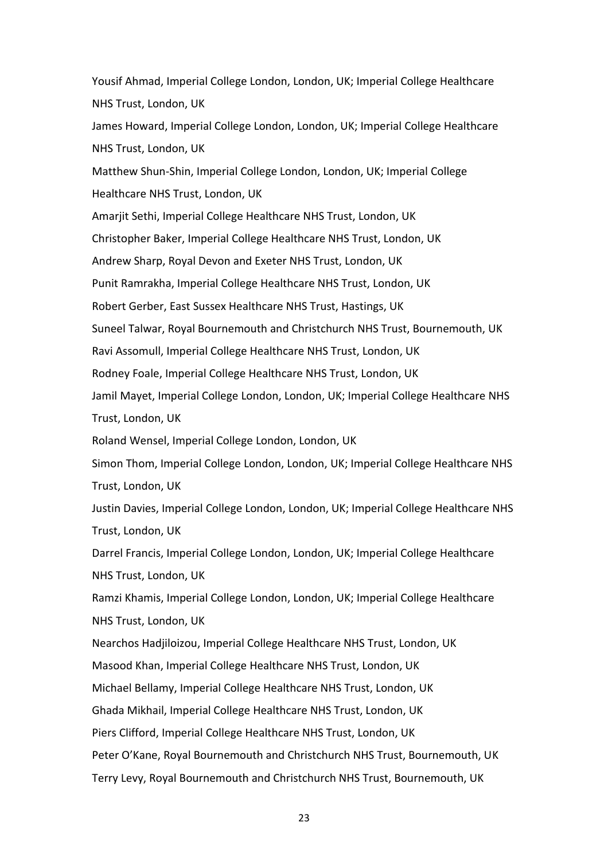Yousif Ahmad, Imperial College London, London, UK; Imperial College Healthcare NHS Trust, London, UK James Howard, Imperial College London, London, UK; Imperial College Healthcare NHS Trust, London, UK Matthew Shun-Shin, Imperial College London, London, UK; Imperial College Healthcare NHS Trust, London, UK Amarjit Sethi, Imperial College Healthcare NHS Trust, London, UK Christopher Baker, Imperial College Healthcare NHS Trust, London, UK Andrew Sharp, Royal Devon and Exeter NHS Trust, London, UK Punit Ramrakha, Imperial College Healthcare NHS Trust, London, UK Robert Gerber, East Sussex Healthcare NHS Trust, Hastings, UK Suneel Talwar, Royal Bournemouth and Christchurch NHS Trust, Bournemouth, UK Ravi Assomull, Imperial College Healthcare NHS Trust, London, UK Rodney Foale, Imperial College Healthcare NHS Trust, London, UK Jamil Mayet, Imperial College London, London, UK; Imperial College Healthcare NHS Trust, London, UK Roland Wensel, Imperial College London, London, UK Simon Thom, Imperial College London, London, UK; Imperial College Healthcare NHS Trust, London, UK Justin Davies, Imperial College London, London, UK; Imperial College Healthcare NHS Trust, London, UK Darrel Francis, Imperial College London, London, UK; Imperial College Healthcare NHS Trust, London, UK Ramzi Khamis, Imperial College London, London, UK; Imperial College Healthcare NHS Trust, London, UK Nearchos Hadjiloizou, Imperial College Healthcare NHS Trust, London, UK Masood Khan, Imperial College Healthcare NHS Trust, London, UK Michael Bellamy, Imperial College Healthcare NHS Trust, London, UK Ghada Mikhail, Imperial College Healthcare NHS Trust, London, UK Piers Clifford, Imperial College Healthcare NHS Trust, London, UK Peter O'Kane, Royal Bournemouth and Christchurch NHS Trust, Bournemouth, UK Terry Levy, Royal Bournemouth and Christchurch NHS Trust, Bournemouth, UK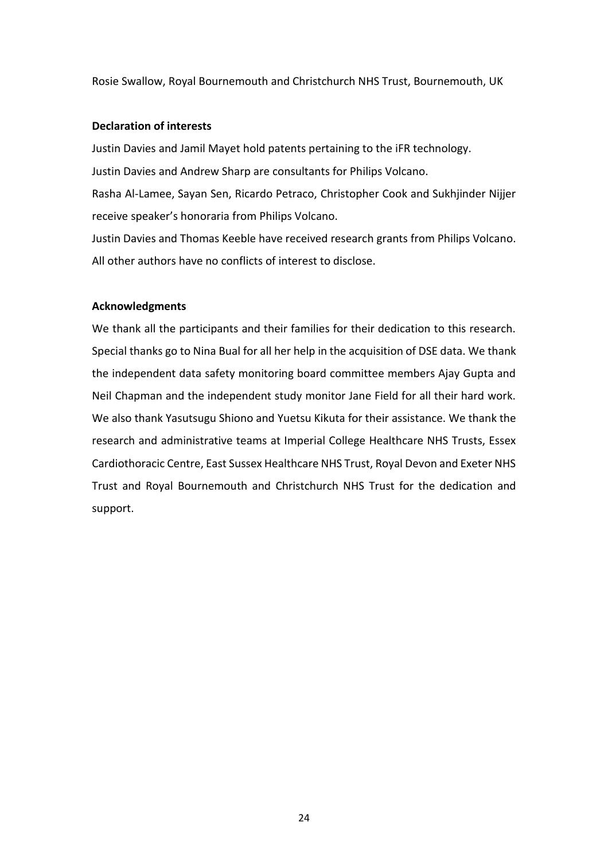Rosie Swallow, Royal Bournemouth and Christchurch NHS Trust, Bournemouth, UK

# **Declaration of interests**

Justin Davies and Jamil Mayet hold patents pertaining to the iFR technology. Justin Davies and Andrew Sharp are consultants for Philips Volcano. Rasha Al-Lamee, Sayan Sen, Ricardo Petraco, Christopher Cook and Sukhjinder Nijjer receive speaker's honoraria from Philips Volcano.

Justin Davies and Thomas Keeble have received research grants from Philips Volcano. All other authors have no conflicts of interest to disclose.

# **Acknowledgments**

We thank all the participants and their families for their dedication to this research. Special thanks go to Nina Bual for all her help in the acquisition of DSE data. We thank the independent data safety monitoring board committee members Ajay Gupta and Neil Chapman and the independent study monitor Jane Field for all their hard work. We also thank Yasutsugu Shiono and Yuetsu Kikuta for their assistance. We thank the research and administrative teams at Imperial College Healthcare NHS Trusts, Essex Cardiothoracic Centre, East Sussex Healthcare NHS Trust, Royal Devon and Exeter NHS Trust and Royal Bournemouth and Christchurch NHS Trust for the dedication and support.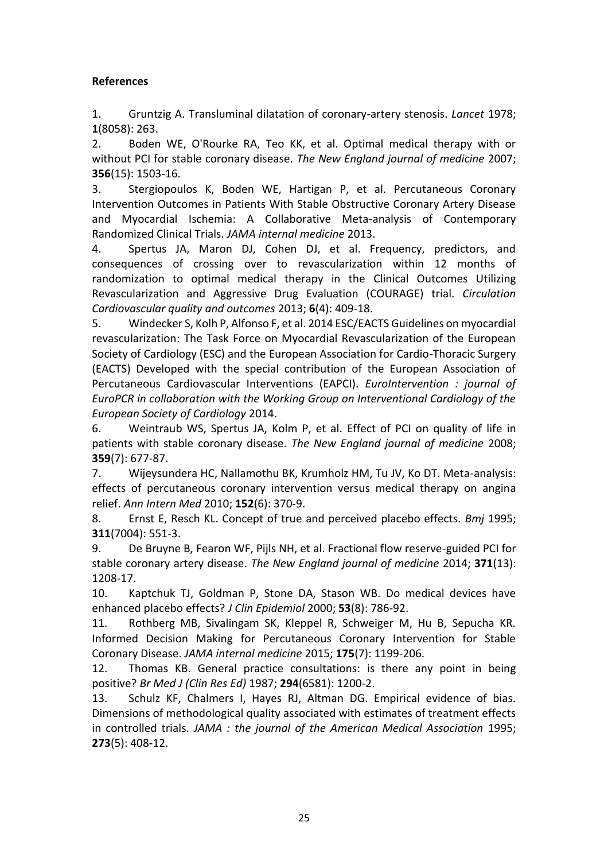# **References**

1. Gruntzig A. Transluminal dilatation of coronary-artery stenosis. *Lancet* 1978; **1**(8058): 263.

2. Boden WE, O'Rourke RA, Teo KK, et al. Optimal medical therapy with or without PCI for stable coronary disease. *The New England journal of medicine* 2007; **356**(15): 1503-16.

3. Stergiopoulos K, Boden WE, Hartigan P, et al. Percutaneous Coronary Intervention Outcomes in Patients With Stable Obstructive Coronary Artery Disease and Myocardial Ischemia: A Collaborative Meta-analysis of Contemporary Randomized Clinical Trials. *JAMA internal medicine* 2013.

4. Spertus JA, Maron DJ, Cohen DJ, et al. Frequency, predictors, and consequences of crossing over to revascularization within 12 months of randomization to optimal medical therapy in the Clinical Outcomes Utilizing Revascularization and Aggressive Drug Evaluation (COURAGE) trial. *Circulation Cardiovascular quality and outcomes* 2013; **6**(4): 409-18.

5. Windecker S, Kolh P, Alfonso F, et al. 2014 ESC/EACTS Guidelines on myocardial revascularization: The Task Force on Myocardial Revascularization of the European Society of Cardiology (ESC) and the European Association for Cardio-Thoracic Surgery (EACTS) Developed with the special contribution of the European Association of Percutaneous Cardiovascular Interventions (EAPCI). *EuroIntervention : journal of EuroPCR in collaboration with the Working Group on Interventional Cardiology of the European Society of Cardiology* 2014.

6. Weintraub WS, Spertus JA, Kolm P, et al. Effect of PCI on quality of life in patients with stable coronary disease. *The New England journal of medicine* 2008; **359**(7): 677-87.

7. Wijeysundera HC, Nallamothu BK, Krumholz HM, Tu JV, Ko DT. Meta-analysis: effects of percutaneous coronary intervention versus medical therapy on angina relief. *Ann Intern Med* 2010; **152**(6): 370-9.

8. Ernst E, Resch KL. Concept of true and perceived placebo effects. *Bmj* 1995; **311**(7004): 551-3.

9. De Bruyne B, Fearon WF, Pijls NH, et al. Fractional flow reserve-guided PCI for stable coronary artery disease. *The New England journal of medicine* 2014; **371**(13): 1208-17.

10. Kaptchuk TJ, Goldman P, Stone DA, Stason WB. Do medical devices have enhanced placebo effects? *J Clin Epidemiol* 2000; **53**(8): 786-92.

11. Rothberg MB, Sivalingam SK, Kleppel R, Schweiger M, Hu B, Sepucha KR. Informed Decision Making for Percutaneous Coronary Intervention for Stable Coronary Disease. *JAMA internal medicine* 2015; **175**(7): 1199-206.

12. Thomas KB. General practice consultations: is there any point in being positive? *Br Med J (Clin Res Ed)* 1987; **294**(6581): 1200-2.

13. Schulz KF, Chalmers I, Hayes RJ, Altman DG. Empirical evidence of bias. Dimensions of methodological quality associated with estimates of treatment effects in controlled trials. *JAMA : the journal of the American Medical Association* 1995; **273**(5): 408-12.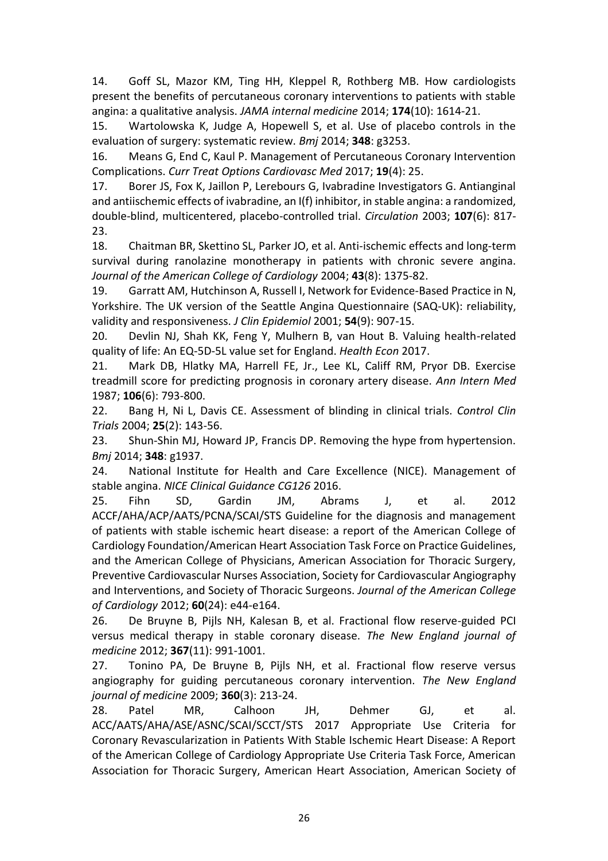14. Goff SL, Mazor KM, Ting HH, Kleppel R, Rothberg MB. How cardiologists present the benefits of percutaneous coronary interventions to patients with stable angina: a qualitative analysis. *JAMA internal medicine* 2014; **174**(10): 1614-21.

15. Wartolowska K, Judge A, Hopewell S, et al. Use of placebo controls in the evaluation of surgery: systematic review. *Bmj* 2014; **348**: g3253.

16. Means G, End C, Kaul P. Management of Percutaneous Coronary Intervention Complications. *Curr Treat Options Cardiovasc Med* 2017; **19**(4): 25.

17. Borer JS, Fox K, Jaillon P, Lerebours G, Ivabradine Investigators G. Antianginal and antiischemic effects of ivabradine, an I(f) inhibitor, in stable angina: a randomized, double-blind, multicentered, placebo-controlled trial. *Circulation* 2003; **107**(6): 817- 23.

18. Chaitman BR, Skettino SL, Parker JO, et al. Anti-ischemic effects and long-term survival during ranolazine monotherapy in patients with chronic severe angina. *Journal of the American College of Cardiology* 2004; **43**(8): 1375-82.

19. Garratt AM, Hutchinson A, Russell I, Network for Evidence-Based Practice in N, Yorkshire. The UK version of the Seattle Angina Questionnaire (SAQ-UK): reliability, validity and responsiveness. *J Clin Epidemiol* 2001; **54**(9): 907-15.

20. Devlin NJ, Shah KK, Feng Y, Mulhern B, van Hout B. Valuing health-related quality of life: An EQ-5D-5L value set for England. *Health Econ* 2017.

21. Mark DB, Hlatky MA, Harrell FE, Jr., Lee KL, Califf RM, Pryor DB. Exercise treadmill score for predicting prognosis in coronary artery disease. *Ann Intern Med* 1987; **106**(6): 793-800.

22. Bang H, Ni L, Davis CE. Assessment of blinding in clinical trials. *Control Clin Trials* 2004; **25**(2): 143-56.

23. Shun-Shin MJ, Howard JP, Francis DP. Removing the hype from hypertension. *Bmj* 2014; **348**: g1937.

24. National Institute for Health and Care Excellence (NICE). Management of stable angina. *NICE Clinical Guidance CG126* 2016.

25. Fihn SD, Gardin JM, Abrams J, et al. 2012 ACCF/AHA/ACP/AATS/PCNA/SCAI/STS Guideline for the diagnosis and management of patients with stable ischemic heart disease: a report of the American College of Cardiology Foundation/American Heart Association Task Force on Practice Guidelines, and the American College of Physicians, American Association for Thoracic Surgery, Preventive Cardiovascular Nurses Association, Society for Cardiovascular Angiography and Interventions, and Society of Thoracic Surgeons. *Journal of the American College of Cardiology* 2012; **60**(24): e44-e164.

26. De Bruyne B, Pijls NH, Kalesan B, et al. Fractional flow reserve-guided PCI versus medical therapy in stable coronary disease. *The New England journal of medicine* 2012; **367**(11): 991-1001.

27. Tonino PA, De Bruyne B, Pijls NH, et al. Fractional flow reserve versus angiography for guiding percutaneous coronary intervention. *The New England journal of medicine* 2009; **360**(3): 213-24.

28. Patel MR, Calhoon JH, Dehmer GJ, et al. ACC/AATS/AHA/ASE/ASNC/SCAI/SCCT/STS 2017 Appropriate Use Criteria for Coronary Revascularization in Patients With Stable Ischemic Heart Disease: A Report of the American College of Cardiology Appropriate Use Criteria Task Force, American Association for Thoracic Surgery, American Heart Association, American Society of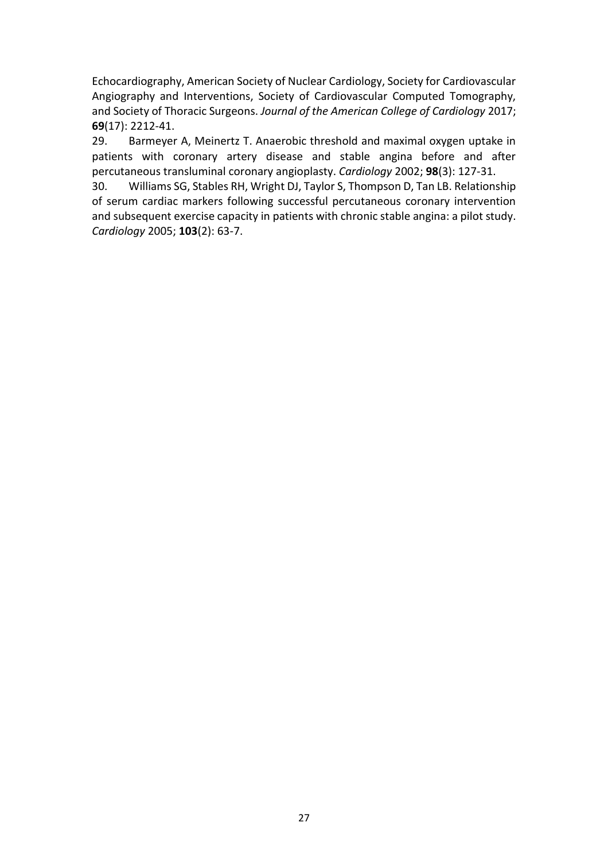Echocardiography, American Society of Nuclear Cardiology, Society for Cardiovascular Angiography and Interventions, Society of Cardiovascular Computed Tomography, and Society of Thoracic Surgeons. *Journal of the American College of Cardiology* 2017; **69**(17): 2212-41.

29. Barmeyer A, Meinertz T. Anaerobic threshold and maximal oxygen uptake in patients with coronary artery disease and stable angina before and after percutaneous transluminal coronary angioplasty. *Cardiology* 2002; **98**(3): 127-31.

30. Williams SG, Stables RH, Wright DJ, Taylor S, Thompson D, Tan LB. Relationship of serum cardiac markers following successful percutaneous coronary intervention and subsequent exercise capacity in patients with chronic stable angina: a pilot study. *Cardiology* 2005; **103**(2): 63-7.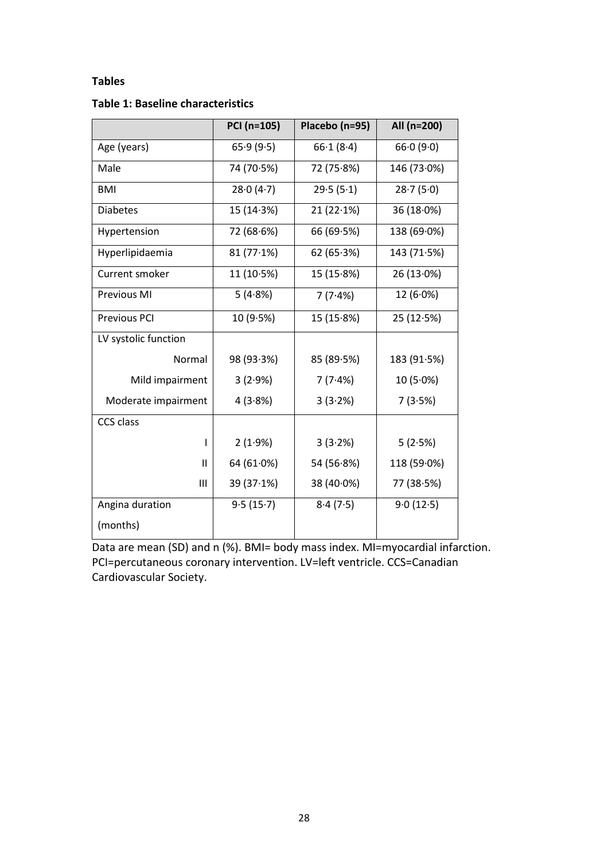# **Tables**

# **Table 1: Baseline characteristics**

|                      | PCI (n=105) | Placebo (n=95) | All (n=200) |  |
|----------------------|-------------|----------------|-------------|--|
| Age (years)          | 65.9(9.5)   | 66.1(8.4)      | 66.0(9.0)   |  |
| Male                 | 74 (70.5%)  | 72 (75.8%)     | 146 (73.0%) |  |
| <b>BMI</b>           | 28.0(4.7)   | 29.5(5.1)      | 28.7(5.0)   |  |
| <b>Diabetes</b>      | 15 (14.3%)  | 21(22.1%)      | 36 (18.0%)  |  |
| Hypertension         | 72 (68.6%)  | 66 (69.5%)     | 138 (69.0%) |  |
| Hyperlipidaemia      | 81(77.1%)   | 62 $(65.3%)$   | 143 (71.5%) |  |
| Current smoker       | 11 (10.5%)  | 15(15.8%)      | 26 (13.0%)  |  |
| Previous MI          | 5(4.8%)     | 7(7.4%)        | $12(6.0\%)$ |  |
| <b>Previous PCI</b>  | 10(9.5%)    | 15(15.8%)      | 25(12.5%)   |  |
| LV systolic function |             |                |             |  |
| Normal               | 98 (93.3%)  | 85 (89.5%)     | 183 (91.5%) |  |
| Mild impairment      | 3(2.9%)     | 7(7.4%)        | $10(5.0\%)$ |  |
| Moderate impairment  | 4(3.8%)     | 3(3.2%)        | 7(3.5%)     |  |
| CCS class            |             |                |             |  |
| ı                    | 2(1.9%)     | 3(3.2%)        | 5(2.5%)     |  |
| Ш                    | 64 (61.0%)  | 54 (56.8%)     | 118 (59.0%) |  |
| Ш                    | 39(37.1%)   | $38(40.0\%)$   | 77 (38.5%)  |  |
| Angina duration      | 9.5(15.7)   | 8.4(7.5)       | 9.0(12.5)   |  |
| (months)             |             |                |             |  |

Data are mean (SD) and n (%). BMI= body mass index. MI=myocardial infarction. PCI=percutaneous coronary intervention. LV=left ventricle. CCS=Canadian Cardiovascular Society.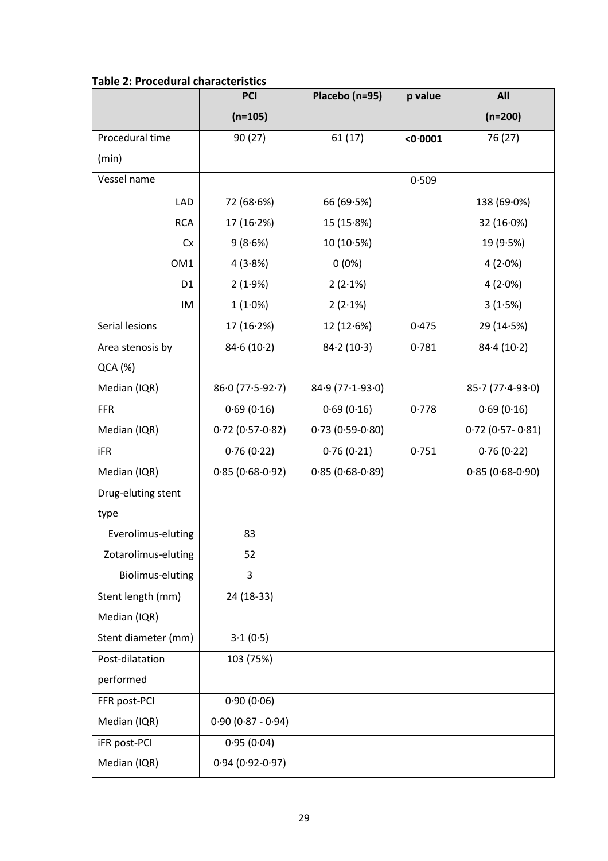|                         | <b>PCI</b>          | Placebo (n=95)    | p value  | All                    |
|-------------------------|---------------------|-------------------|----------|------------------------|
|                         | $(n=105)$           |                   |          | $(n=200)$              |
| Procedural time         | 90(27)              | 61(17)            | < 0.0001 | 76 (27)                |
| (min)                   |                     |                   |          |                        |
| Vessel name             |                     |                   | 0.509    |                        |
| LAD                     | 72 (68.6%)          | 66 (69.5%)        |          | 138 (69.0%)            |
| <b>RCA</b>              | 17 (16.2%)          | 15(15.8%)         |          | 32(16.0%)              |
| Cx                      | 9(8.6%)             | 10(10.5%)         |          | 19 (9.5%)              |
| OM1                     | 4(3.8%)             | $0(0\%)$          |          | $4(2.0\%)$             |
| D <sub>1</sub>          | 2(1.9%)             | 2(2.1%)           |          | 4(2.0%)                |
| IM                      | $1(1.0\%)$          | 2(2.1%)           |          | 3(1.5%)                |
| Serial lesions          | 17 (16.2%)          | 12(12.6%)         | 0.475    | 29 (14.5%)             |
| Area stenosis by        | 84.6(10.2)          | 84.2(10.3)        | 0.781    | 84.4(10.2)             |
| QCA (%)                 |                     |                   |          |                        |
| Median (IQR)            | $86.0(77.5-92.7)$   | 84.9 (77.1-93.0)  |          | $85.7(77.4-93.0)$      |
| <b>FFR</b>              | 0.69(0.16)          | 0.69(0.16)        | 0.778    | 0.69(0.16)             |
| Median (IQR)            | $0.72(0.57-0.82)$   | $0.73(0.59-0.80)$ |          | $0.72$ (0.57- $0.81$ ) |
| <b>iFR</b>              | 0.76(0.22)          | 0.76(0.21)        | 0.751    | 0.76(0.22)             |
| Median (IQR)            | $0.85(0.68-0.92)$   | $0.85(0.68-0.89)$ |          | $0.85(0.68-0.90)$      |
| Drug-eluting stent      |                     |                   |          |                        |
| type                    |                     |                   |          |                        |
| Everolimus-eluting      | 83                  |                   |          |                        |
| Zotarolimus-eluting     | 52                  |                   |          |                        |
| <b>Biolimus-eluting</b> | 3                   |                   |          |                        |
| Stent length (mm)       | 24 (18-33)          |                   |          |                        |
| Median (IQR)            |                     |                   |          |                        |
| Stent diameter (mm)     | 3.1(0.5)            |                   |          |                        |
| Post-dilatation         | 103 (75%)           |                   |          |                        |
| performed               |                     |                   |          |                        |
| FFR post-PCI            | 0.90(0.06)          |                   |          |                        |
| Median (IQR)            | $0.90(0.87 - 0.94)$ |                   |          |                        |
| <b>iFR post-PCI</b>     | 0.95(0.04)          |                   |          |                        |
| Median (IQR)            | $0.94(0.92-0.97)$   |                   |          |                        |

# **Table 2: Procedural characteristics**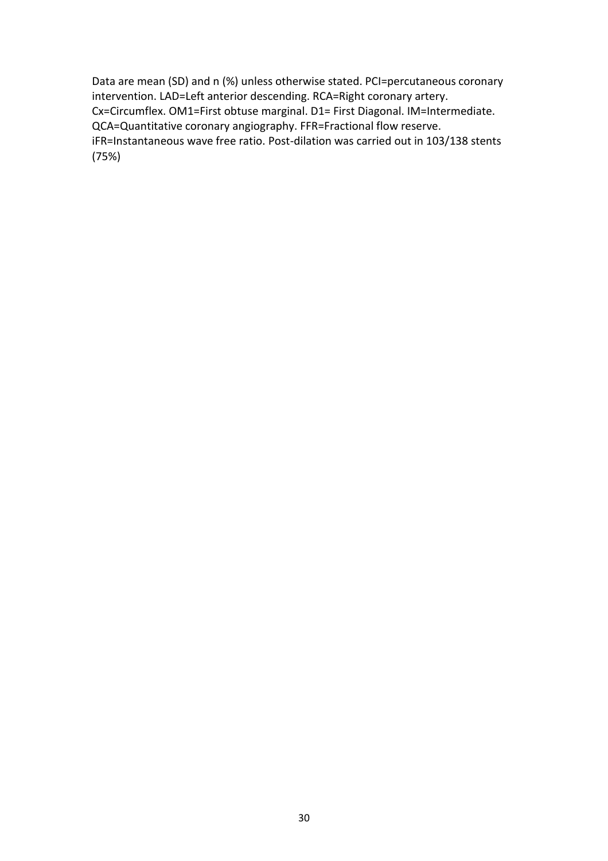Data are mean (SD) and n (%) unless otherwise stated. PCI=percutaneous coronary intervention. LAD=Left anterior descending. RCA=Right coronary artery. Cx=Circumflex. OM1=First obtuse marginal. D1= First Diagonal. IM=Intermediate. QCA=Quantitative coronary angiography. FFR=Fractional flow reserve. iFR=Instantaneous wave free ratio. Post-dilation was carried out in 103/138 stents (75%)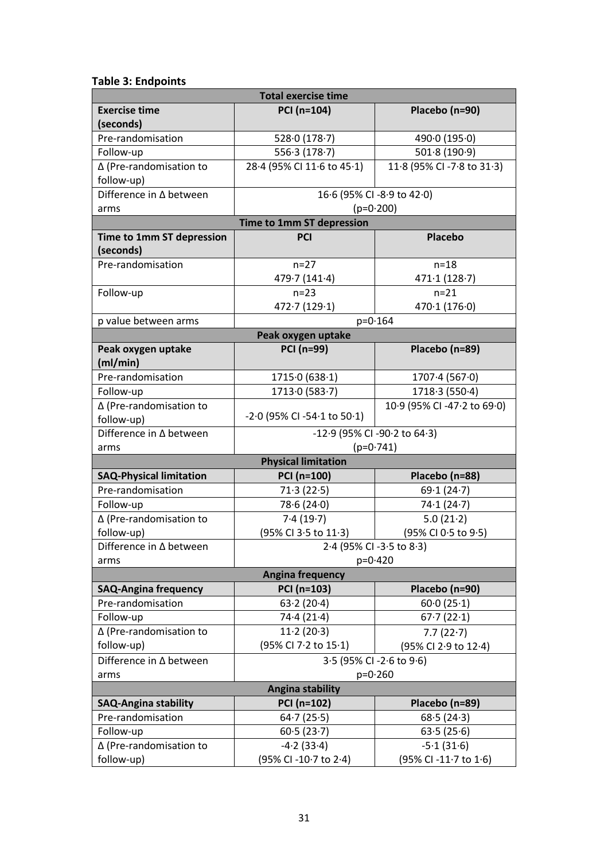# **Table 3: Endpoints**

|                                        | <b>Total exercise time</b>                  |                             |  |  |  |
|----------------------------------------|---------------------------------------------|-----------------------------|--|--|--|
| <b>Exercise time</b><br>(seconds)      | PCI (n=104)                                 | Placebo (n=90)              |  |  |  |
| Pre-randomisation                      | 528.0(178.7)                                | 490.0(195.0)                |  |  |  |
| Follow-up                              | 556.3(178.7)                                | 501.8(190.9)                |  |  |  |
| ∆ (Pre-randomisation to<br>follow-up)  | 28.4 (95% CI 11.6 to 45.1)                  | 11.8 (95% CI -7.8 to 31.3)  |  |  |  |
| Difference in ∆ between                |                                             | 16.6 (95% CI -8.9 to 42.0)  |  |  |  |
| arms                                   | $(p=0.200)$                                 |                             |  |  |  |
|                                        | Time to 1mm ST depression                   |                             |  |  |  |
| Time to 1mm ST depression<br>(seconds) | <b>PCI</b>                                  | <b>Placebo</b>              |  |  |  |
| Pre-randomisation                      | $n=27$                                      | $n=18$                      |  |  |  |
|                                        | 479.7(141.4)                                | 471.1(128.7)                |  |  |  |
| Follow-up                              | $n=23$                                      | $n = 21$                    |  |  |  |
|                                        | 472.7(129.1)                                | 470.1(176.0)                |  |  |  |
| p value between arms                   | $p = 0.164$                                 |                             |  |  |  |
|                                        | Peak oxygen uptake                          |                             |  |  |  |
| Peak oxygen uptake<br>(ml/min)         | <b>PCI (n=99)</b>                           | Placebo (n=89)              |  |  |  |
| Pre-randomisation                      | 1715.0 (638.1)                              | 1707.4(567.0)               |  |  |  |
| Follow-up                              | 1713.0(583.7)                               | 1718.3 (550.4)              |  |  |  |
| ∆ (Pre-randomisation to                |                                             | 10.9 (95% CI -47.2 to 69.0) |  |  |  |
| follow-up)                             | $-2.0$ (95% CI $-54.1$ to 50.1)             |                             |  |  |  |
| Difference in ∆ between<br>arms        | -12.9 (95% CI -90.2 to 64.3)<br>$(p=0.741)$ |                             |  |  |  |
|                                        | <b>Physical limitation</b>                  |                             |  |  |  |
| <b>SAQ-Physical limitation</b>         | PCI (n=100)                                 | Placebo (n=88)              |  |  |  |
| Pre-randomisation                      | 71.3(22.5)                                  | 69.1(24.7)                  |  |  |  |
| Follow-up                              | 78.6(24.0)                                  | 74.1(24.7)                  |  |  |  |
| ∆ (Pre-randomisation to                | 7.4(19.7)                                   | 5.0(21.2)                   |  |  |  |
| follow-up)                             | (95% CI 3.5 to 11.3)                        | (95% CI 0.5 to 9.5)         |  |  |  |
| Difference in ∆ between                |                                             | 2.4 (95% CI -3.5 to 8.3)    |  |  |  |
| arms                                   | $p=0.420$                                   |                             |  |  |  |
|                                        | <b>Angina frequency</b>                     |                             |  |  |  |
| <b>SAQ-Angina frequency</b>            | PCI (n=103)                                 | Placebo (n=90)              |  |  |  |
| Pre-randomisation                      | 63.2(20.4)                                  | 60.0(25.1)                  |  |  |  |
| Follow-up                              | 74.4(21.4)                                  | 67.7(22.1)                  |  |  |  |
| ∆ (Pre-randomisation to                | 11.2(20.3)                                  | 7.7(22.7)                   |  |  |  |
| follow-up)                             | (95% CI 7.2 to 15.1)                        | (95% CI 2.9 to 12.4)        |  |  |  |
| Difference in ∆ between                | 3.5 (95% CI -2.6 to 9.6)                    |                             |  |  |  |
| arms                                   | $p = 0.260$                                 |                             |  |  |  |
| <b>Angina stability</b>                |                                             |                             |  |  |  |
| <b>SAQ-Angina stability</b>            | PCI (n=102)                                 | Placebo (n=89)              |  |  |  |
| Pre-randomisation                      | 64.7(25.5)                                  | 68.5(24.3)                  |  |  |  |
| Follow-up                              | 60.5(23.7)<br>63.5(25.6)                    |                             |  |  |  |
| ∆ (Pre-randomisation to                | $-4.2(33.4)$                                | $-5.1(31.6)$                |  |  |  |
| follow-up)                             | (95% CI-10.7 to 2.4)                        | (95% CI -11.7 to 1.6)       |  |  |  |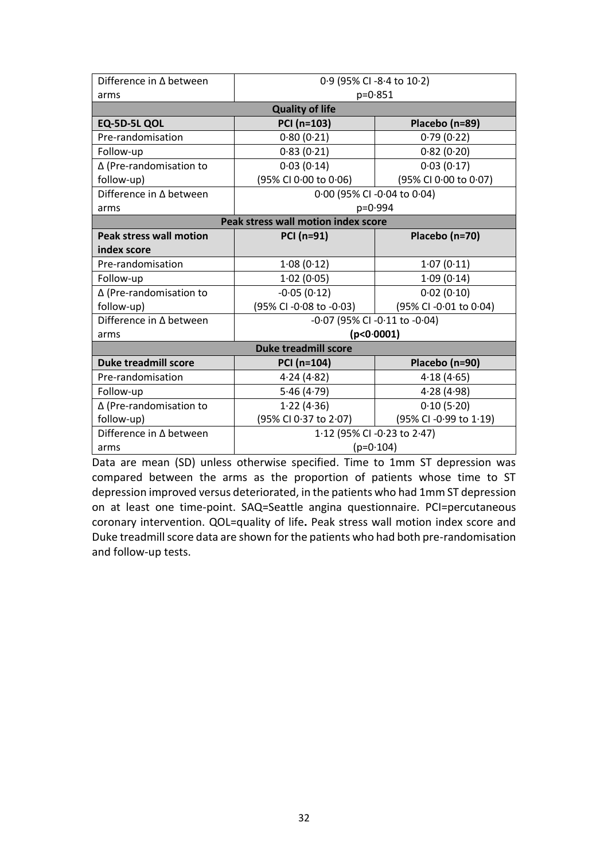| Difference in ∆ between                    | 0.9 (95% CI -8.4 to 10.2)                       |                       |  |  |
|--------------------------------------------|-------------------------------------------------|-----------------------|--|--|
| arms                                       | $p = 0.851$                                     |                       |  |  |
| <b>Quality of life</b>                     |                                                 |                       |  |  |
| EQ-5D-5L QOL                               | PCI (n=103)                                     | Placebo (n=89)        |  |  |
| Pre-randomisation                          | 0.80(0.21)                                      | 0.79(0.22)            |  |  |
| Follow-up                                  | 0.83(0.21)                                      | 0.82(0.20)            |  |  |
| ∆ (Pre-randomisation to                    | 0.03(0.14)                                      | 0.03(0.17)            |  |  |
| follow-up)                                 | (95% CI 0.00 to 0.06)                           | (95% CI 0.00 to 0.07) |  |  |
| Difference in ∆ between                    | 0.00 (95% CI -0.04 to 0.04)                     |                       |  |  |
| arms                                       | p=0.994                                         |                       |  |  |
| <b>Peak stress wall motion index score</b> |                                                 |                       |  |  |
| <b>Peak stress wall motion</b>             | PCI (n=91)                                      | Placebo (n=70)        |  |  |
| index score                                |                                                 |                       |  |  |
| Pre-randomisation                          | 1.08(0.12)                                      | 1.07(0.11)            |  |  |
| Follow-up                                  | 1.02(0.05)                                      | 1.09(0.14)            |  |  |
| $\Delta$ (Pre-randomisation to             | $-0.05(0.12)$                                   | 0.02(0.10)            |  |  |
| follow-up)                                 | (95% CI -0.08 to -0.03)                         | (95% CI-0.01 to 0.04) |  |  |
| Difference in ∆ between                    | -0.07 (95% CI -0.11 to -0.04)                   |                       |  |  |
| arms                                       | (p < 0.0001)                                    |                       |  |  |
| <b>Duke treadmill score</b>                |                                                 |                       |  |  |
| <b>Duke treadmill score</b>                | PCI (n=104)                                     | Placebo (n=90)        |  |  |
| Pre-randomisation                          | 4.24(4.82)                                      | 4.18(4.65)            |  |  |
| Follow-up                                  | 5.46(4.79)                                      | 4.28(4.98)            |  |  |
| ∆ (Pre-randomisation to                    | 1.22(4.36)                                      | 0.10(5.20)            |  |  |
| follow-up)                                 | (95% CI 0.37 to 2.07)<br>(95% CI -0.99 to 1.19) |                       |  |  |
| Difference in ∆ between                    | 1.12 (95% CI -0.23 to 2.47)                     |                       |  |  |
| arms                                       | $(p=0.104)$                                     |                       |  |  |

Data are mean (SD) unless otherwise specified. Time to 1mm ST depression was compared between the arms as the proportion of patients whose time to ST depression improved versus deteriorated, in the patients who had 1mm ST depression on at least one time-point. SAQ=Seattle angina questionnaire. PCI=percutaneous coronary intervention. QOL=quality of life**.** Peak stress wall motion index score and Duke treadmill score data are shown for the patients who had both pre-randomisation and follow-up tests.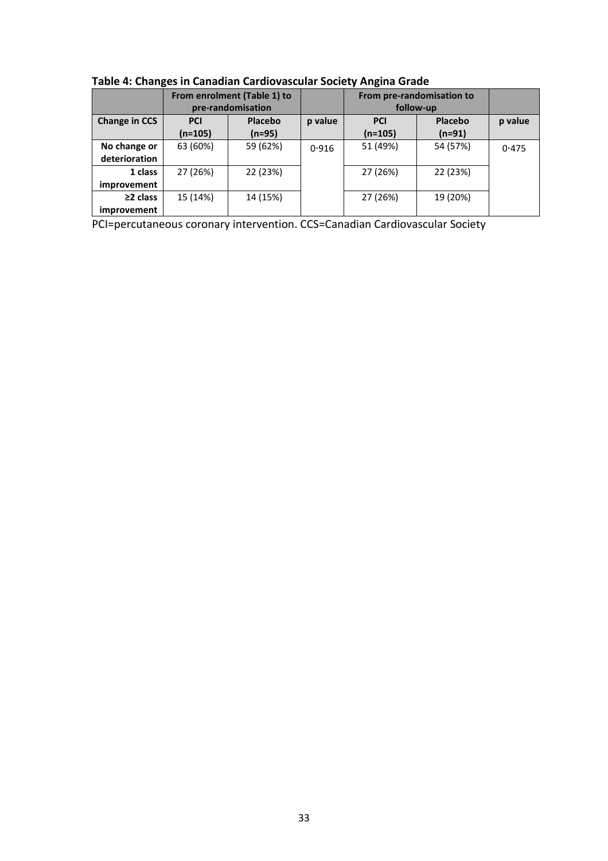|                               | From enrolment (Table 1) to<br>pre-randomisation |                     |         | From pre-randomisation to<br>follow-up |                     |         |
|-------------------------------|--------------------------------------------------|---------------------|---------|----------------------------------------|---------------------|---------|
| <b>Change in CCS</b>          | <b>PCI</b><br>(n=105)                            | Placebo<br>$(n=95)$ | p value | <b>PCI</b><br>$(n=105)$                | Placebo<br>$(n=91)$ | p value |
| No change or<br>deterioration | 63 (60%)                                         | 59 (62%)            | 0.916   | 51 (49%)                               | 54 (57%)            | 0.475   |
| 1 class<br>improvement        | 27 (26%)                                         | 22 (23%)            |         | 27 (26%)                               | 22 (23%)            |         |
| $\geq$ 2 class<br>improvement | 15 (14%)                                         | 14 (15%)            |         | 27 (26%)                               | 19 (20%)            |         |

**Table 4: Changes in Canadian Cardiovascular Society Angina Grade**

PCI=percutaneous coronary intervention. CCS=Canadian Cardiovascular Society